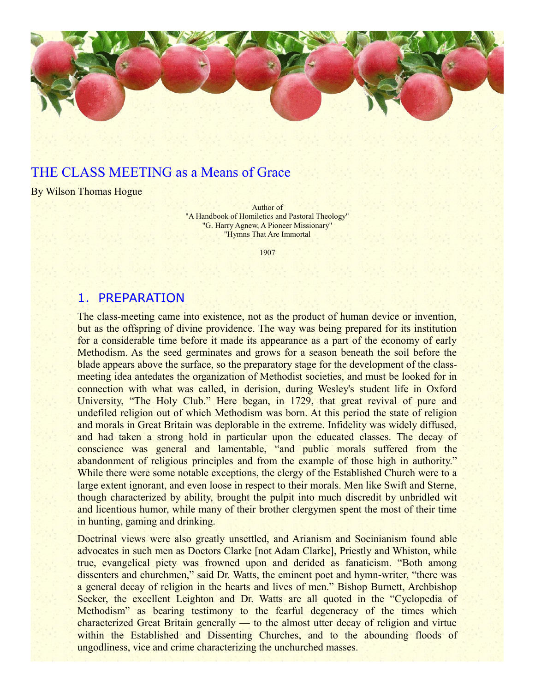

## THE CLASS MEETING as a Means of Grace

By Wilson Thomas Hogue

Author of "A Handbook of Homiletics and Pastoral Theology" "G. Harry Agnew, A Pioneer Missionary" "Hymns That Are Immortal

1907

#### 1. PREPARATION

The class-meeting came into existence, not as the product of human device or invention, but as the offspring of divine providence. The way was being prepared for its institution for a considerable time before it made its appearance as a part of the economy of early Methodism. As the seed germinates and grows for a season beneath the soil before the blade appears above the surface, so the preparatory stage for the development of the classmeeting idea antedates the organization of Methodist societies, and must be looked for in connection with what was called, in derision, during Wesley's student life in Oxford University, "The Holy Club." Here began, in 1729, that great revival of pure and undefiled religion out of which Methodism was born. At this period the state of religion and morals in Great Britain was deplorable in the extreme. Infidelity was widely diffused, and had taken a strong hold in particular upon the educated classes. The decay of conscience was general and lamentable, "and public morals suffered from the abandonment of religious principles and from the example of those high in authority." While there were some notable exceptions, the clergy of the Established Church were to a large extent ignorant, and even loose in respect to their morals. Men like Swift and Sterne, though characterized by ability, brought the pulpit into much discredit by unbridled wit and licentious humor, while many of their brother clergymen spent the most of their time in hunting, gaming and drinking.

Doctrinal views were also greatly unsettled, and Arianism and Socinianism found able advocates in such men as Doctors Clarke [not Adam Clarke], Priestly and Whiston, while true, evangelical piety was frowned upon and derided as fanaticism. "Both among dissenters and churchmen," said Dr. Watts, the eminent poet and hymn-writer, "there was a general decay of religion in the hearts and lives of men." Bishop Burnett, Archbishop Secker, the excellent Leighton and Dr. Watts are all quoted in the "Cyclopedia of Methodism" as bearing testimony to the fearful degeneracy of the times which characterized Great Britain generally — to the almost utter decay of religion and virtue within the Established and Dissenting Churches, and to the abounding floods of ungodliness, vice and crime characterizing the unchurched masses.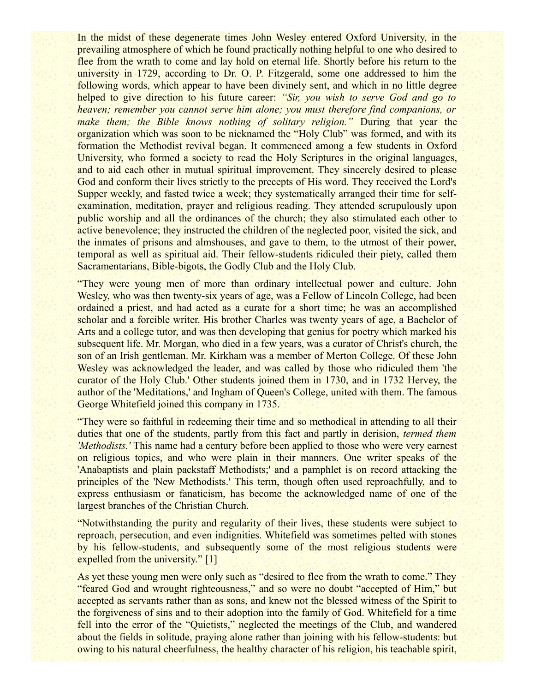In the midst of these degenerate times John Wesley entered Oxford University, in the prevailing atmosphere of which he found practically nothing helpful to one who desired to flee from the wrath to come and lay hold on eternal life. Shortly before his return to the university in 1729, according to Dr. O. P. Fitzgerald, some one addressed to him the following words, which appear to have been divinely sent, and which in no little degree helped to give direction to his future career: *"Sir, you wish to serve God and go to heaven; remember you cannot serve him alone; you must therefore find companions, or make them; the Bible knows nothing of solitary religion."* During that year the organization which was soon to be nicknamed the "Holy Club" was formed, and with its formation the Methodist revival began. It commenced among a few students in Oxford University, who formed a society to read the Holy Scriptures in the original languages, and to aid each other in mutual spiritual improvement. They sincerely desired to please God and conform their lives strictly to the precepts of His word. They received the Lord's Supper weekly, and fasted twice a week; they systematically arranged their time for selfexamination, meditation, prayer and religious reading. They attended scrupulously upon public worship and all the ordinances of the church; they also stimulated each other to active benevolence; they instructed the children of the neglected poor, visited the sick, and the inmates of prisons and almshouses, and gave to them, to the utmost of their power, temporal as well as spiritual aid. Their fellow-students ridiculed their piety, called them Sacramentarians, Bible-bigots, the Godly Club and the Holy Club.

"They were young men of more than ordinary intellectual power and culture. John Wesley, who was then twenty-six years of age, was a Fellow of Lincoln College, had been ordained a priest, and had acted as a curate for a short time; he was an accomplished scholar and a forcible writer. His brother Charles was twenty years of age, a Bachelor of Arts and a college tutor, and was then developing that genius for poetry which marked his subsequent life. Mr. Morgan, who died in a few years, was a curator of Christ's church, the son of an Irish gentleman. Mr. Kirkham was a member of Merton College. Of these John Wesley was acknowledged the leader, and was called by those who ridiculed them 'the curator of the Holy Club.' Other students joined them in 1730, and in 1732 Hervey, the author of the 'Meditations,' and Ingham of Queen's College, united with them. The famous George Whitefield joined this company in 1735.

"They were so faithful in redeeming their time and so methodical in attending to all their duties that one of the students, partly from this fact and partly in derision, *termed them 'Methodists.'* This name had a century before been applied to those who were very earnest on religious topics, and who were plain in their manners. One writer speaks of the 'Anabaptists and plain packstaff Methodists;' and a pamphlet is on record attacking the principles of the 'New Methodists.' This term, though often used reproachfully, and to express enthusiasm or fanaticism, has become the acknowledged name of one of the largest branches of the Christian Church.

"Notwithstanding the purity and regularity of their lives, these students were subject to reproach, persecution, and even indignities. Whitefield was sometimes pelted with stones by his fellow-students, and subsequently some of the most religious students were expelled from the university." [1]

As yet these young men were only such as "desired to flee from the wrath to come." They "feared God and wrought righteousness," and so were no doubt "accepted of Him," but accepted as servants rather than as sons, and knew not the blessed witness of the Spirit to the forgiveness of sins and to their adoption into the family of God. Whitefield for a time fell into the error of the "Quietists," neglected the meetings of the Club, and wandered about the fields in solitude, praying alone rather than joining with his fellow-students: but owing to his natural cheerfulness, the healthy character of his religion, his teachable spirit,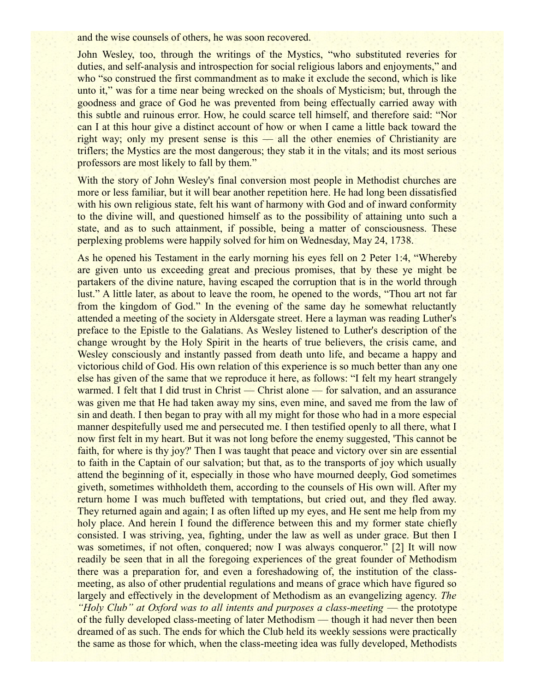and the wise counsels of others, he was soon recovered.

John Wesley, too, through the writings of the Mystics, "who substituted reveries for duties, and self-analysis and introspection for social religious labors and enjoyments," and who "so construed the first commandment as to make it exclude the second, which is like unto it," was for a time near being wrecked on the shoals of Mysticism; but, through the goodness and grace of God he was prevented from being effectually carried away with this subtle and ruinous error. How, he could scarce tell himself, and therefore said: "Nor can I at this hour give a distinct account of how or when I came a little back toward the right way; only my present sense is this — all the other enemies of Christianity are triflers; the Mystics are the most dangerous; they stab it in the vitals; and its most serious professors are most likely to fall by them."

With the story of John Wesley's final conversion most people in Methodist churches are more or less familiar, but it will bear another repetition here. He had long been dissatisfied with his own religious state, felt his want of harmony with God and of inward conformity to the divine will, and questioned himself as to the possibility of attaining unto such a state, and as to such attainment, if possible, being a matter of consciousness. These perplexing problems were happily solved for him on Wednesday, May 24, 1738.

As he opened his Testament in the early morning his eyes fell on 2 Peter 1:4, "Whereby are given unto us exceeding great and precious promises, that by these ye might be partakers of the divine nature, having escaped the corruption that is in the world through lust." A little later, as about to leave the room, he opened to the words, "Thou art not far from the kingdom of God." In the evening of the same day he somewhat reluctantly attended a meeting of the society in Aldersgate street. Here a layman was reading Luther's preface to the Epistle to the Galatians. As Wesley listened to Luther's description of the change wrought by the Holy Spirit in the hearts of true believers, the crisis came, and Wesley consciously and instantly passed from death unto life, and became a happy and victorious child of God. His own relation of this experience is so much better than any one else has given of the same that we reproduce it here, as follows: "I felt my heart strangely warmed. I felt that I did trust in Christ — Christ alone — for salvation, and an assurance was given me that He had taken away my sins, even mine, and saved me from the law of sin and death. I then began to pray with all my might for those who had in a more especial manner despitefully used me and persecuted me. I then testified openly to all there, what I now first felt in my heart. But it was not long before the enemy suggested, 'This cannot be faith, for where is thy joy?' Then I was taught that peace and victory over sin are essential to faith in the Captain of our salvation; but that, as to the transports of joy which usually attend the beginning of it, especially in those who have mourned deeply, God sometimes giveth, sometimes withholdeth them, according to the counsels of His own will. After my return home I was much buffeted with temptations, but cried out, and they fled away. They returned again and again; I as often lifted up my eyes, and He sent me help from my holy place. And herein I found the difference between this and my former state chiefly consisted. I was striving, yea, fighting, under the law as well as under grace. But then I was sometimes, if not often, conquered; now I was always conqueror." [2] It will now readily be seen that in all the foregoing experiences of the great founder of Methodism there was a preparation for, and even a foreshadowing of, the institution of the classmeeting, as also of other prudential regulations and means of grace which have figured so largely and effectively in the development of Methodism as an evangelizing agency. *The "Holy Club" at Oxford was to all intents and purposes a class-meeting* — the prototype of the fully developed class-meeting of later Methodism — though it had never then been dreamed of as such. The ends for which the Club held its weekly sessions were practically the same as those for which, when the class-meeting idea was fully developed, Methodists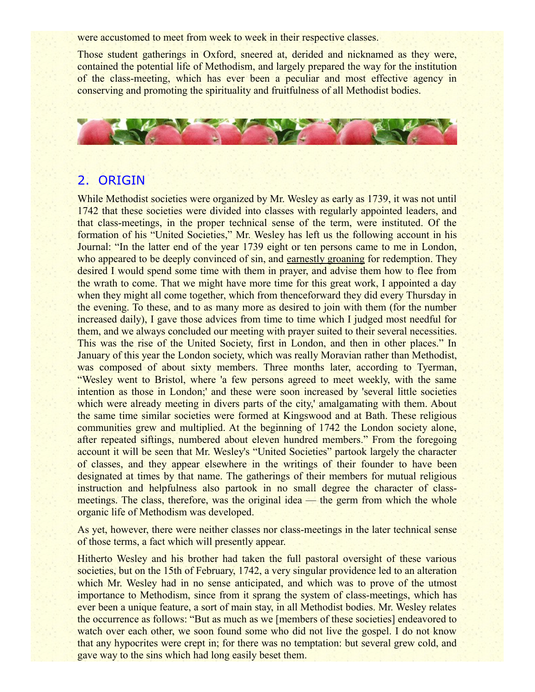were accustomed to meet from week to week in their respective classes.

Those student gatherings in Oxford, sneered at, derided and nicknamed as they were, contained the potential life of Methodism, and largely prepared the way for the institution of the class-meeting, which has ever been a peculiar and most effective agency in conserving and promoting the spirituality and fruitfulness of all Methodist bodies.



## 2. ORIGIN

While Methodist societies were organized by Mr. Wesley as early as 1739, it was not until 1742 that these societies were divided into classes with regularly appointed leaders, and that class-meetings, in the proper technical sense of the term, were instituted. Of the formation of his "United Societies," Mr. Wesley has left us the following account in his Journal: "In the latter end of the year 1739 eight or ten persons came to me in London, who appeared to be deeply convinced of sin, and earnestly groaning for redemption. They desired I would spend some time with them in prayer, and advise them how to flee from the wrath to come. That we might have more time for this great work, I appointed a day when they might all come together, which from thenceforward they did every Thursday in the evening. To these, and to as many more as desired to join with them (for the number increased daily), I gave those advices from time to time which I judged most needful for them, and we always concluded our meeting with prayer suited to their several necessities. This was the rise of the United Society, first in London, and then in other places." In January of this year the London society, which was really Moravian rather than Methodist, was composed of about sixty members. Three months later, according to Tyerman, "Wesley went to Bristol, where 'a few persons agreed to meet weekly, with the same intention as those in London;' and these were soon increased by 'several little societies which were already meeting in divers parts of the city,' amalgamating with them. About the same time similar societies were formed at Kingswood and at Bath. These religious communities grew and multiplied. At the beginning of 1742 the London society alone, after repeated siftings, numbered about eleven hundred members." From the foregoing account it will be seen that Mr. Wesley's "United Societies" partook largely the character of classes, and they appear elsewhere in the writings of their founder to have been designated at times by that name. The gatherings of their members for mutual religious instruction and helpfulness also partook in no small degree the character of classmeetings. The class, therefore, was the original idea — the germ from which the whole organic life of Methodism was developed.

As yet, however, there were neither classes nor class-meetings in the later technical sense of those terms, a fact which will presently appear.

Hitherto Wesley and his brother had taken the full pastoral oversight of these various societies, but on the 15th of February, 1742, a very singular providence led to an alteration which Mr. Wesley had in no sense anticipated, and which was to prove of the utmost importance to Methodism, since from it sprang the system of class-meetings, which has ever been a unique feature, a sort of main stay, in all Methodist bodies. Mr. Wesley relates the occurrence as follows: "But as much as we [members of these societies] endeavored to watch over each other, we soon found some who did not live the gospel. I do not know that any hypocrites were crept in; for there was no temptation: but several grew cold, and gave way to the sins which had long easily beset them.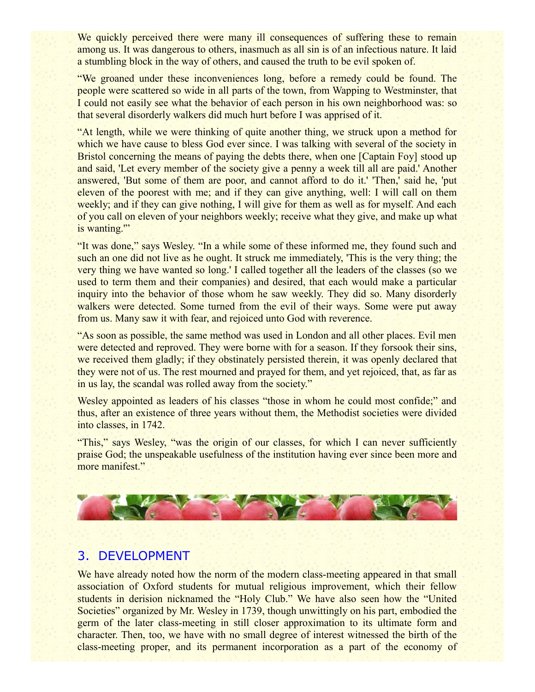We quickly perceived there were many ill consequences of suffering these to remain among us. It was dangerous to others, inasmuch as all sin is of an infectious nature. It laid a stumbling block in the way of others, and caused the truth to be evil spoken of.

"We groaned under these inconveniences long, before a remedy could be found. The people were scattered so wide in all parts of the town, from Wapping to Westminster, that I could not easily see what the behavior of each person in his own neighborhood was: so that several disorderly walkers did much hurt before I was apprised of it.

"At length, while we were thinking of quite another thing, we struck upon a method for which we have cause to bless God ever since. I was talking with several of the society in Bristol concerning the means of paying the debts there, when one [Captain Foy] stood up and said, 'Let every member of the society give a penny a week till all are paid.' Another answered, 'But some of them are poor, and cannot afford to do it.' 'Then,' said he, 'put eleven of the poorest with me; and if they can give anything, well: I will call on them weekly; and if they can give nothing, I will give for them as well as for myself. And each of you call on eleven of your neighbors weekly; receive what they give, and make up what is wanting."

"It was done," says Wesley. "In a while some of these informed me, they found such and such an one did not live as he ought. It struck me immediately, 'This is the very thing; the very thing we have wanted so long.' I called together all the leaders of the classes (so we used to term them and their companies) and desired, that each would make a particular inquiry into the behavior of those whom he saw weekly. They did so. Many disorderly walkers were detected. Some turned from the evil of their ways. Some were put away from us. Many saw it with fear, and rejoiced unto God with reverence.

"As soon as possible, the same method was used in London and all other places. Evil men were detected and reproved. They were borne with for a season. If they forsook their sins, we received them gladly; if they obstinately persisted therein, it was openly declared that they were not of us. The rest mourned and prayed for them, and yet rejoiced, that, as far as in us lay, the scandal was rolled away from the society."

Wesley appointed as leaders of his classes "those in whom he could most confide;" and thus, after an existence of three years without them, the Methodist societies were divided into classes, in 1742.

"This," says Wesley, "was the origin of our classes, for which I can never sufficiently praise God; the unspeakable usefulness of the institution having ever since been more and more manifest."



## 3. DEVELOPMENT

We have already noted how the norm of the modern class-meeting appeared in that small association of Oxford students for mutual religious improvement, which their fellow students in derision nicknamed the "Holy Club." We have also seen how the "United Societies" organized by Mr. Wesley in 1739, though unwittingly on his part, embodied the germ of the later class-meeting in still closer approximation to its ultimate form and character. Then, too, we have with no small degree of interest witnessed the birth of the class-meeting proper, and its permanent incorporation as a part of the economy of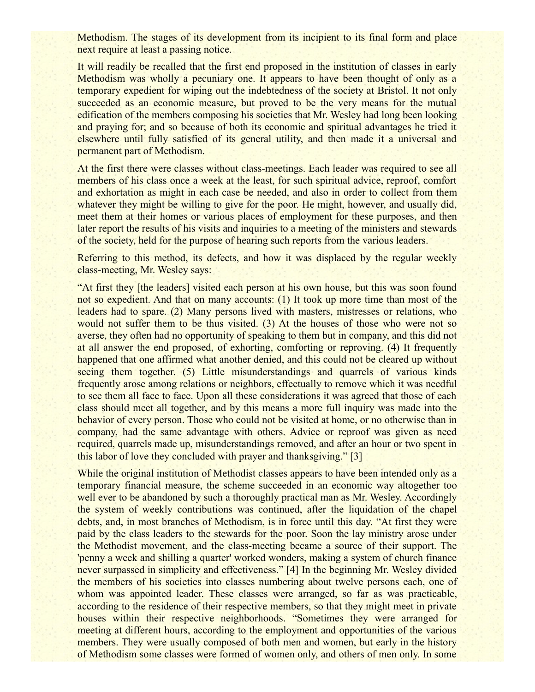Methodism. The stages of its development from its incipient to its final form and place next require at least a passing notice.

It will readily be recalled that the first end proposed in the institution of classes in early Methodism was wholly a pecuniary one. It appears to have been thought of only as a temporary expedient for wiping out the indebtedness of the society at Bristol. It not only succeeded as an economic measure, but proved to be the very means for the mutual edification of the members composing his societies that Mr. Wesley had long been looking and praying for; and so because of both its economic and spiritual advantages he tried it elsewhere until fully satisfied of its general utility, and then made it a universal and permanent part of Methodism.

At the first there were classes without class-meetings. Each leader was required to see all members of his class once a week at the least, for such spiritual advice, reproof, comfort and exhortation as might in each case be needed, and also in order to collect from them whatever they might be willing to give for the poor. He might, however, and usually did, meet them at their homes or various places of employment for these purposes, and then later report the results of his visits and inquiries to a meeting of the ministers and stewards of the society, held for the purpose of hearing such reports from the various leaders.

Referring to this method, its defects, and how it was displaced by the regular weekly class-meeting, Mr. Wesley says:

"At first they [the leaders] visited each person at his own house, but this was soon found not so expedient. And that on many accounts: (1) It took up more time than most of the leaders had to spare. (2) Many persons lived with masters, mistresses or relations, who would not suffer them to be thus visited. (3) At the houses of those who were not so averse, they often had no opportunity of speaking to them but in company, and this did not at all answer the end proposed, of exhorting, comforting or reproving. (4) It frequently happened that one affirmed what another denied, and this could not be cleared up without seeing them together. (5) Little misunderstandings and quarrels of various kinds frequently arose among relations or neighbors, effectually to remove which it was needful to see them all face to face. Upon all these considerations it was agreed that those of each class should meet all together, and by this means a more full inquiry was made into the behavior of every person. Those who could not be visited at home, or no otherwise than in company, had the same advantage with others. Advice or reproof was given as need required, quarrels made up, misunderstandings removed, and after an hour or two spent in this labor of love they concluded with prayer and thanksgiving." [3]

While the original institution of Methodist classes appears to have been intended only as a temporary financial measure, the scheme succeeded in an economic way altogether too well ever to be abandoned by such a thoroughly practical man as Mr. Wesley. Accordingly the system of weekly contributions was continued, after the liquidation of the chapel debts, and, in most branches of Methodism, is in force until this day. "At first they were paid by the class leaders to the stewards for the poor. Soon the lay ministry arose under the Methodist movement, and the class-meeting became a source of their support. The 'penny a week and shilling a quarter' worked wonders, making a system of church finance never surpassed in simplicity and effectiveness." [4] In the beginning Mr. Wesley divided the members of his societies into classes numbering about twelve persons each, one of whom was appointed leader. These classes were arranged, so far as was practicable, according to the residence of their respective members, so that they might meet in private houses within their respective neighborhoods. "Sometimes they were arranged for meeting at different hours, according to the employment and opportunities of the various members. They were usually composed of both men and women, but early in the history of Methodism some classes were formed of women only, and others of men only. In some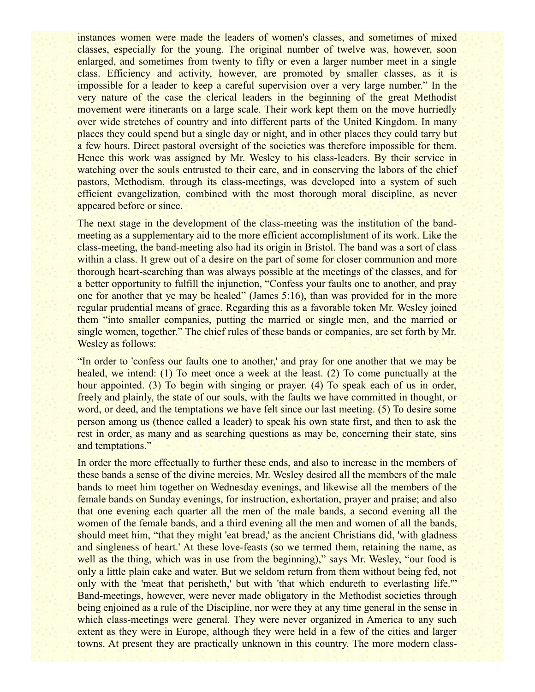instances women were made the leaders of women's classes, and sometimes of mixed classes, especially for the young. The original number of twelve was, however, soon enlarged, and sometimes from twenty to fifty or even a larger number meet in a single class. Efficiency and activity, however, are promoted by smaller classes, as it is impossible for a leader to keep a careful supervision over a very large number." In the very nature of the case the clerical leaders in the beginning of the great Methodist movement were itinerants on a large scale. Their work kept them on the move hurriedly over wide stretches of country and into different parts of the United Kingdom. In many places they could spend but a single day or night, and in other places they could tarry but a few hours. Direct pastoral oversight of the societies was therefore impossible for them. Hence this work was assigned by Mr. Wesley to his class-leaders. By their service in watching over the souls entrusted to their care, and in conserving the labors of the chief pastors, Methodism, through its class-meetings, was developed into a system of such efficient evangelization, combined with the most thorough moral discipline, as never appeared before or since.

The next stage in the development of the class-meeting was the institution of the bandmeeting as a supplementary aid to the more efficient accomplishment of its work. Like the class-meeting, the band-meeting also had its origin in Bristol. The band was a sort of class within a class. It grew out of a desire on the part of some for closer communion and more thorough heart-searching than was always possible at the meetings of the classes, and for a better opportunity to fulfill the injunction, "Confess your faults one to another, and pray one for another that ye may be healed" (James 5:16), than was provided for in the more regular prudential means of grace. Regarding this as a favorable token Mr. Wesley joined them "into smaller companies, putting the married or single men, and the married or single women, together." The chief rules of these bands or companies, are set forth by Mr. Wesley as follows:

"In order to 'confess our faults one to another,' and pray for one another that we may be healed, we intend: (1) To meet once a week at the least. (2) To come punctually at the hour appointed. (3) To begin with singing or prayer. (4) To speak each of us in order, freely and plainly, the state of our souls, with the faults we have committed in thought, or word, or deed, and the temptations we have felt since our last meeting. (5) To desire some person among us (thence called a leader) to speak his own state first, and then to ask the rest in order, as many and as searching questions as may be, concerning their state, sins and temptations."

In order the more effectually to further these ends, and also to increase in the members of these bands a sense of the divine mercies, Mr. Wesley desired all the members of the male bands to meet him together on Wednesday evenings, and likewise all the members of the female bands on Sunday evenings, for instruction, exhortation, prayer and praise; and also that one evening each quarter all the men of the male bands, a second evening all the women of the female bands, and a third evening all the men and women of all the bands, should meet him, "that they might 'eat bread,' as the ancient Christians did, 'with gladness and singleness of heart.' At these love-feasts (so we termed them, retaining the name, as well as the thing, which was in use from the beginning)," says Mr. Wesley, "our food is only a little plain cake and water. But we seldom return from them without being fed, not only with the 'meat that perisheth,' but with 'that which endureth to everlasting life.'" Band-meetings, however, were never made obligatory in the Methodist societies through being enjoined as a rule of the Discipline, nor were they at any time general in the sense in which class-meetings were general. They were never organized in America to any such extent as they were in Europe, although they were held in a few of the cities and larger towns. At present they are practically unknown in this country. The more modern class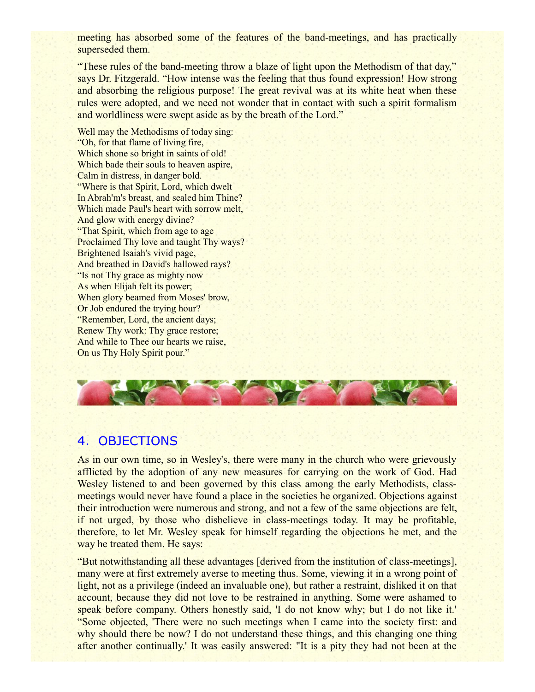meeting has absorbed some of the features of the band-meetings, and has practically superseded them.

"These rules of the band-meeting throw a blaze of light upon the Methodism of that day," says Dr. Fitzgerald. "How intense was the feeling that thus found expression! How strong and absorbing the religious purpose! The great revival was at its white heat when these rules were adopted, and we need not wonder that in contact with such a spirit formalism and worldliness were swept aside as by the breath of the Lord."

Well may the Methodisms of today sing: "Oh, for that flame of living fire, Which shone so bright in saints of old! Which bade their souls to heaven aspire, Calm in distress, in danger bold. "Where is that Spirit, Lord, which dwelt In Abrah'm's breast, and sealed him Thine? Which made Paul's heart with sorrow melt, And glow with energy divine? "That Spirit, which from age to age Proclaimed Thy love and taught Thy ways? Brightened Isaiah's vivid page, And breathed in David's hallowed rays? "Is not Thy grace as mighty now As when Elijah felt its power; When glory beamed from Moses' brow, Or Job endured the trying hour? "Remember, Lord, the ancient days; Renew Thy work: Thy grace restore; And while to Thee our hearts we raise, On us Thy Holy Spirit pour."



### 4. OBJECTIONS

As in our own time, so in Wesley's, there were many in the church who were grievously afflicted by the adoption of any new measures for carrying on the work of God. Had Wesley listened to and been governed by this class among the early Methodists, classmeetings would never have found a place in the societies he organized. Objections against their introduction were numerous and strong, and not a few of the same objections are felt, if not urged, by those who disbelieve in class-meetings today. It may be profitable, therefore, to let Mr. Wesley speak for himself regarding the objections he met, and the way he treated them. He says:

"But notwithstanding all these advantages [derived from the institution of class-meetings], many were at first extremely averse to meeting thus. Some, viewing it in a wrong point of light, not as a privilege (indeed an invaluable one), but rather a restraint, disliked it on that account, because they did not love to be restrained in anything. Some were ashamed to speak before company. Others honestly said, 'I do not know why; but I do not like it.' "Some objected, 'There were no such meetings when I came into the society first: and why should there be now? I do not understand these things, and this changing one thing after another continually.' It was easily answered: "It is a pity they had not been at the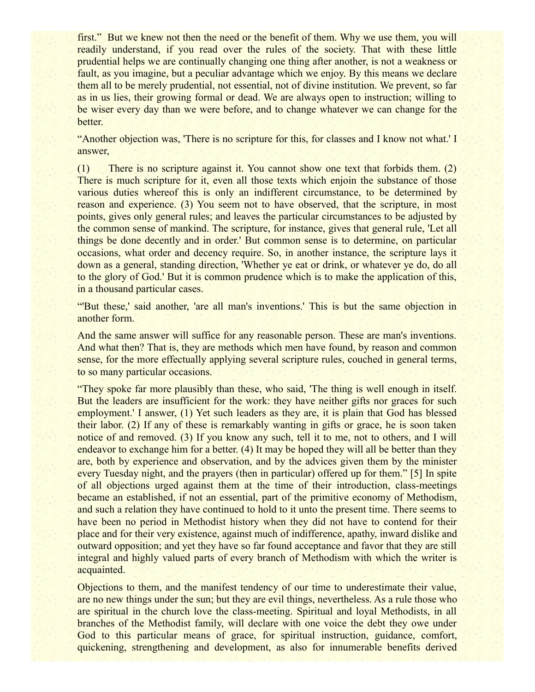first." But we knew not then the need or the benefit of them. Why we use them, you will readily understand, if you read over the rules of the society. That with these little prudential helps we are continually changing one thing after another, is not a weakness or fault, as you imagine, but a peculiar advantage which we enjoy. By this means we declare them all to be merely prudential, not essential, not of divine institution. We prevent, so far as in us lies, their growing formal or dead. We are always open to instruction; willing to be wiser every day than we were before, and to change whatever we can change for the better.

"Another objection was, 'There is no scripture for this, for classes and I know not what.' I answer,

(1) There is no scripture against it. You cannot show one text that forbids them. (2) There is much scripture for it, even all those texts which enjoin the substance of those various duties whereof this is only an indifferent circumstance, to be determined by reason and experience. (3) You seem not to have observed, that the scripture, in most points, gives only general rules; and leaves the particular circumstances to be adjusted by the common sense of mankind. The scripture, for instance, gives that general rule, 'Let all things be done decently and in order.' But common sense is to determine, on particular occasions, what order and decency require. So, in another instance, the scripture lays it down as a general, standing direction, 'Whether ye eat or drink, or whatever ye do, do all to the glory of God.' But it is common prudence which is to make the application of this, in a thousand particular cases.

"'But these,' said another, 'are all man's inventions.' This is but the same objection in another form.

And the same answer will suffice for any reasonable person. These are man's inventions. And what then? That is, they are methods which men have found, by reason and common sense, for the more effectually applying several scripture rules, couched in general terms, to so many particular occasions.

"They spoke far more plausibly than these, who said, 'The thing is well enough in itself. But the leaders are insufficient for the work: they have neither gifts nor graces for such employment.' I answer, (1) Yet such leaders as they are, it is plain that God has blessed their labor. (2) If any of these is remarkably wanting in gifts or grace, he is soon taken notice of and removed. (3) If you know any such, tell it to me, not to others, and I will endeavor to exchange him for a better. (4) It may be hoped they will all be better than they are, both by experience and observation, and by the advices given them by the minister every Tuesday night, and the prayers (then in particular) offered up for them." [5] In spite of all objections urged against them at the time of their introduction, class-meetings became an established, if not an essential, part of the primitive economy of Methodism, and such a relation they have continued to hold to it unto the present time. There seems to have been no period in Methodist history when they did not have to contend for their place and for their very existence, against much of indifference, apathy, inward dislike and outward opposition; and yet they have so far found acceptance and favor that they are still integral and highly valued parts of every branch of Methodism with which the writer is acquainted.

Objections to them, and the manifest tendency of our time to underestimate their value, are no new things under the sun; but they are evil things, nevertheless. As a rule those who are spiritual in the church love the class-meeting. Spiritual and loyal Methodists, in all branches of the Methodist family, will declare with one voice the debt they owe under God to this particular means of grace, for spiritual instruction, guidance, comfort, quickening, strengthening and development, as also for innumerable benefits derived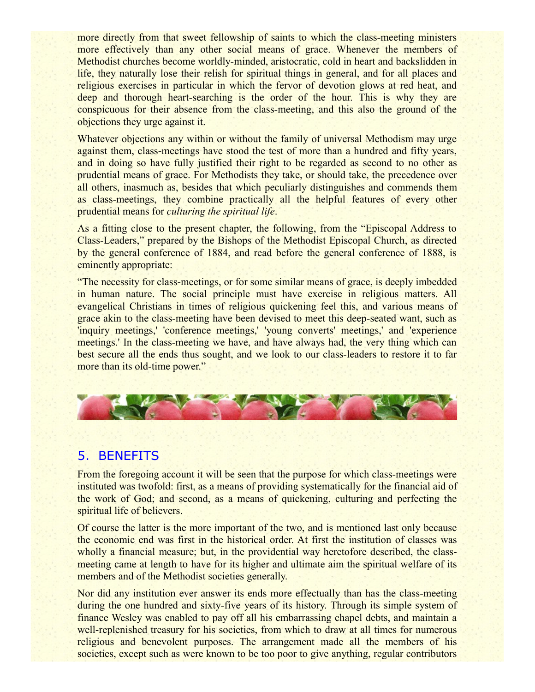more directly from that sweet fellowship of saints to which the class-meeting ministers more effectively than any other social means of grace. Whenever the members of Methodist churches become worldly-minded, aristocratic, cold in heart and backslidden in life, they naturally lose their relish for spiritual things in general, and for all places and religious exercises in particular in which the fervor of devotion glows at red heat, and deep and thorough heart-searching is the order of the hour. This is why they are conspicuous for their absence from the class-meeting, and this also the ground of the objections they urge against it.

Whatever objections any within or without the family of universal Methodism may urge against them, class-meetings have stood the test of more than a hundred and fifty years, and in doing so have fully justified their right to be regarded as second to no other as prudential means of grace. For Methodists they take, or should take, the precedence over all others, inasmuch as, besides that which peculiarly distinguishes and commends them as class-meetings, they combine practically all the helpful features of every other prudential means for *culturing the spiritual life*.

As a fitting close to the present chapter, the following, from the "Episcopal Address to Class-Leaders," prepared by the Bishops of the Methodist Episcopal Church, as directed by the general conference of 1884, and read before the general conference of 1888, is eminently appropriate:

"The necessity for class-meetings, or for some similar means of grace, is deeply imbedded in human nature. The social principle must have exercise in religious matters. All evangelical Christians in times of religious quickening feel this, and various means of grace akin to the class-meeting have been devised to meet this deep-seated want, such as 'inquiry meetings,' 'conference meetings,' 'young converts' meetings,' and 'experience meetings.' In the class-meeting we have, and have always had, the very thing which can best secure all the ends thus sought, and we look to our class-leaders to restore it to far more than its old-time power."



## 5. BENEFITS

From the foregoing account it will be seen that the purpose for which class-meetings were instituted was twofold: first, as a means of providing systematically for the financial aid of the work of God; and second, as a means of quickening, culturing and perfecting the spiritual life of believers.

Of course the latter is the more important of the two, and is mentioned last only because the economic end was first in the historical order. At first the institution of classes was wholly a financial measure; but, in the providential way heretofore described, the classmeeting came at length to have for its higher and ultimate aim the spiritual welfare of its members and of the Methodist societies generally.

Nor did any institution ever answer its ends more effectually than has the class-meeting during the one hundred and sixty-five years of its history. Through its simple system of finance Wesley was enabled to pay off all his embarrassing chapel debts, and maintain a well-replenished treasury for his societies, from which to draw at all times for numerous religious and benevolent purposes. The arrangement made all the members of his societies, except such as were known to be too poor to give anything, regular contributors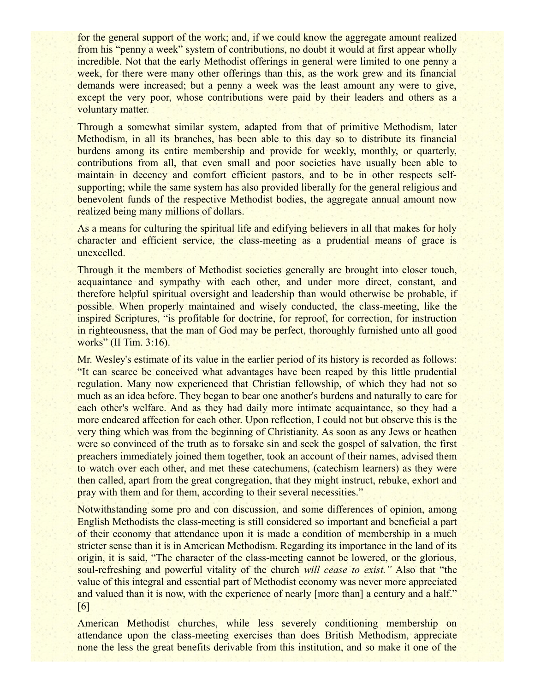for the general support of the work; and, if we could know the aggregate amount realized from his "penny a week" system of contributions, no doubt it would at first appear wholly incredible. Not that the early Methodist offerings in general were limited to one penny a week, for there were many other offerings than this, as the work grew and its financial demands were increased; but a penny a week was the least amount any were to give, except the very poor, whose contributions were paid by their leaders and others as a voluntary matter.

Through a somewhat similar system, adapted from that of primitive Methodism, later Methodism, in all its branches, has been able to this day so to distribute its financial burdens among its entire membership and provide for weekly, monthly, or quarterly, contributions from all, that even small and poor societies have usually been able to maintain in decency and comfort efficient pastors, and to be in other respects selfsupporting; while the same system has also provided liberally for the general religious and benevolent funds of the respective Methodist bodies, the aggregate annual amount now realized being many millions of dollars.

As a means for culturing the spiritual life and edifying believers in all that makes for holy character and efficient service, the class-meeting as a prudential means of grace is unexcelled.

Through it the members of Methodist societies generally are brought into closer touch, acquaintance and sympathy with each other, and under more direct, constant, and therefore helpful spiritual oversight and leadership than would otherwise be probable, if possible. When properly maintained and wisely conducted, the class-meeting, like the inspired Scriptures, "is profitable for doctrine, for reproof, for correction, for instruction in righteousness, that the man of God may be perfect, thoroughly furnished unto all good works" (II Tim. 3:16).

Mr. Wesley's estimate of its value in the earlier period of its history is recorded as follows: "It can scarce be conceived what advantages have been reaped by this little prudential regulation. Many now experienced that Christian fellowship, of which they had not so much as an idea before. They began to bear one another's burdens and naturally to care for each other's welfare. And as they had daily more intimate acquaintance, so they had a more endeared affection for each other. Upon reflection, I could not but observe this is the very thing which was from the beginning of Christianity. As soon as any Jews or heathen were so convinced of the truth as to forsake sin and seek the gospel of salvation, the first preachers immediately joined them together, took an account of their names, advised them to watch over each other, and met these catechumens, (catechism learners) as they were then called, apart from the great congregation, that they might instruct, rebuke, exhort and pray with them and for them, according to their several necessities."

Notwithstanding some pro and con discussion, and some differences of opinion, among English Methodists the class-meeting is still considered so important and beneficial a part of their economy that attendance upon it is made a condition of membership in a much stricter sense than it is in American Methodism. Regarding its importance in the land of its origin, it is said, "The character of the class-meeting cannot be lowered, or the glorious, soul-refreshing and powerful vitality of the church *will cease to exist."* Also that "the value of this integral and essential part of Methodist economy was never more appreciated and valued than it is now, with the experience of nearly [more than] a century and a half." [6]

American Methodist churches, while less severely conditioning membership on attendance upon the class-meeting exercises than does British Methodism, appreciate none the less the great benefits derivable from this institution, and so make it one of the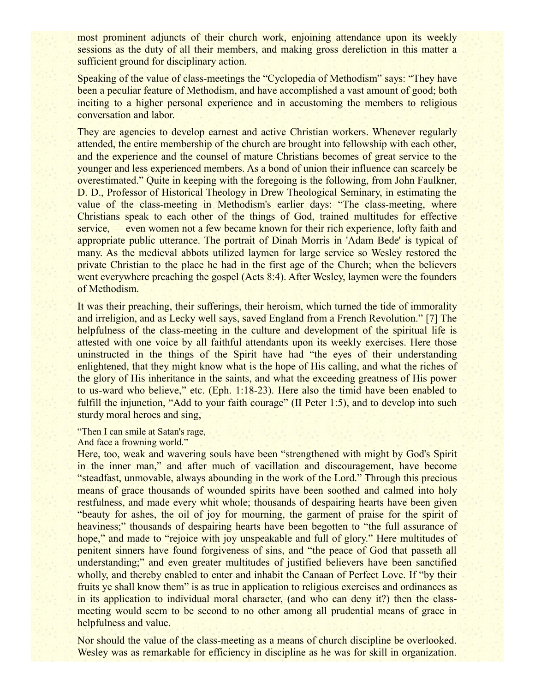most prominent adjuncts of their church work, enjoining attendance upon its weekly sessions as the duty of all their members, and making gross dereliction in this matter a sufficient ground for disciplinary action.

Speaking of the value of class-meetings the "Cyclopedia of Methodism" says: "They have been a peculiar feature of Methodism, and have accomplished a vast amount of good; both inciting to a higher personal experience and in accustoming the members to religious conversation and labor.

They are agencies to develop earnest and active Christian workers. Whenever regularly attended, the entire membership of the church are brought into fellowship with each other, and the experience and the counsel of mature Christians becomes of great service to the younger and less experienced members. As a bond of union their influence can scarcely be overestimated." Quite in keeping with the foregoing is the following, from John Faulkner, D. D., Professor of Historical Theology in Drew Theological Seminary, in estimating the value of the class-meeting in Methodism's earlier days: "The class-meeting, where Christians speak to each other of the things of God, trained multitudes for effective service, — even women not a few became known for their rich experience, lofty faith and appropriate public utterance. The portrait of Dinah Morris in 'Adam Bede' is typical of many. As the medieval abbots utilized laymen for large service so Wesley restored the private Christian to the place he had in the first age of the Church; when the believers went everywhere preaching the gospel (Acts 8:4). After Wesley, laymen were the founders of Methodism.

It was their preaching, their sufferings, their heroism, which turned the tide of immorality and irreligion, and as Lecky well says, saved England from a French Revolution." [7] The helpfulness of the class-meeting in the culture and development of the spiritual life is attested with one voice by all faithful attendants upon its weekly exercises. Here those uninstructed in the things of the Spirit have had "the eyes of their understanding enlightened, that they might know what is the hope of His calling, and what the riches of the glory of His inheritance in the saints, and what the exceeding greatness of His power to us-ward who believe," etc. (Eph. 1:18-23). Here also the timid have been enabled to fulfill the injunction, "Add to your faith courage" (II Peter 1:5), and to develop into such sturdy moral heroes and sing,

"Then I can smile at Satan's rage,

And face a frowning world."

Here, too, weak and wavering souls have been "strengthened with might by God's Spirit in the inner man," and after much of vacillation and discouragement, have become "steadfast, unmovable, always abounding in the work of the Lord." Through this precious means of grace thousands of wounded spirits have been soothed and calmed into holy restfulness, and made every whit whole; thousands of despairing hearts have been given "beauty for ashes, the oil of joy for mourning, the garment of praise for the spirit of heaviness;" thousands of despairing hearts have been begotten to "the full assurance of hope," and made to "rejoice with joy unspeakable and full of glory." Here multitudes of penitent sinners have found forgiveness of sins, and "the peace of God that passeth all understanding;" and even greater multitudes of justified believers have been sanctified wholly, and thereby enabled to enter and inhabit the Canaan of Perfect Love. If "by their fruits ye shall know them" is as true in application to religious exercises and ordinances as in its application to individual moral character, (and who can deny it?) then the classmeeting would seem to be second to no other among all prudential means of grace in helpfulness and value.

Nor should the value of the class-meeting as a means of church discipline be overlooked. Wesley was as remarkable for efficiency in discipline as he was for skill in organization.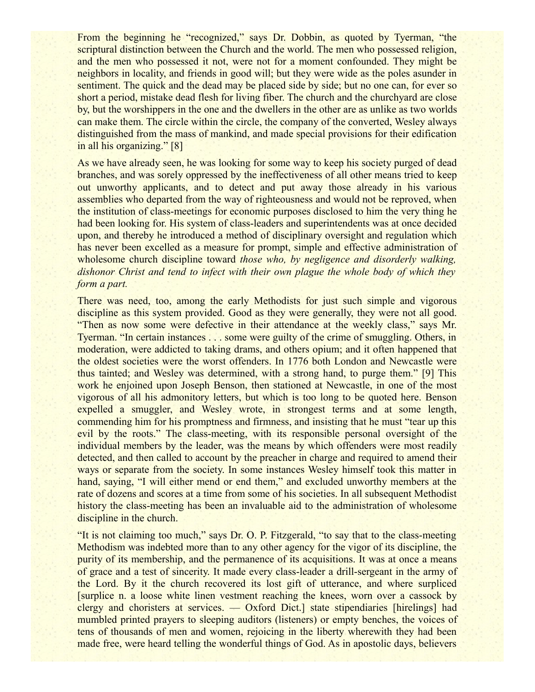From the beginning he "recognized," says Dr. Dobbin, as quoted by Tyerman, "the scriptural distinction between the Church and the world. The men who possessed religion, and the men who possessed it not, were not for a moment confounded. They might be neighbors in locality, and friends in good will; but they were wide as the poles asunder in sentiment. The quick and the dead may be placed side by side; but no one can, for ever so short a period, mistake dead flesh for living fiber. The church and the churchyard are close by, but the worshippers in the one and the dwellers in the other are as unlike as two worlds can make them. The circle within the circle, the company of the converted, Wesley always distinguished from the mass of mankind, and made special provisions for their edification in all his organizing." [8]

As we have already seen, he was looking for some way to keep his society purged of dead branches, and was sorely oppressed by the ineffectiveness of all other means tried to keep out unworthy applicants, and to detect and put away those already in his various assemblies who departed from the way of righteousness and would not be reproved, when the institution of class-meetings for economic purposes disclosed to him the very thing he had been looking for. His system of class-leaders and superintendents was at once decided upon, and thereby he introduced a method of disciplinary oversight and regulation which has never been excelled as a measure for prompt, simple and effective administration of wholesome church discipline toward *those who, by negligence and disorderly walking, dishonor Christ and tend to infect with their own plague the whole body of which they form a part.*

There was need, too, among the early Methodists for just such simple and vigorous discipline as this system provided. Good as they were generally, they were not all good. "Then as now some were defective in their attendance at the weekly class," says Mr. Tyerman. "In certain instances . . . some were guilty of the crime of smuggling. Others, in moderation, were addicted to taking drams, and others opium; and it often happened that the oldest societies were the worst offenders. In 1776 both London and Newcastle were thus tainted; and Wesley was determined, with a strong hand, to purge them." [9] This work he enjoined upon Joseph Benson, then stationed at Newcastle, in one of the most vigorous of all his admonitory letters, but which is too long to be quoted here. Benson expelled a smuggler, and Wesley wrote, in strongest terms and at some length, commending him for his promptness and firmness, and insisting that he must "tear up this evil by the roots." The class-meeting, with its responsible personal oversight of the individual members by the leader, was the means by which offenders were most readily detected, and then called to account by the preacher in charge and required to amend their ways or separate from the society. In some instances Wesley himself took this matter in hand, saying, "I will either mend or end them," and excluded unworthy members at the rate of dozens and scores at a time from some of his societies. In all subsequent Methodist history the class-meeting has been an invaluable aid to the administration of wholesome discipline in the church.

"It is not claiming too much," says Dr. O. P. Fitzgerald, "to say that to the class-meeting Methodism was indebted more than to any other agency for the vigor of its discipline, the purity of its membership, and the permanence of its acquisitions. It was at once a means of grace and a test of sincerity. It made every class-leader a drill-sergeant in the army of the Lord. By it the church recovered its lost gift of utterance, and where surpliced [surplice n. a loose white linen vestment reaching the knees, worn over a cassock by clergy and choristers at services. — Oxford Dict.] state stipendiaries [hirelings] had mumbled printed prayers to sleeping auditors (listeners) or empty benches, the voices of tens of thousands of men and women, rejoicing in the liberty wherewith they had been made free, were heard telling the wonderful things of God. As in apostolic days, believers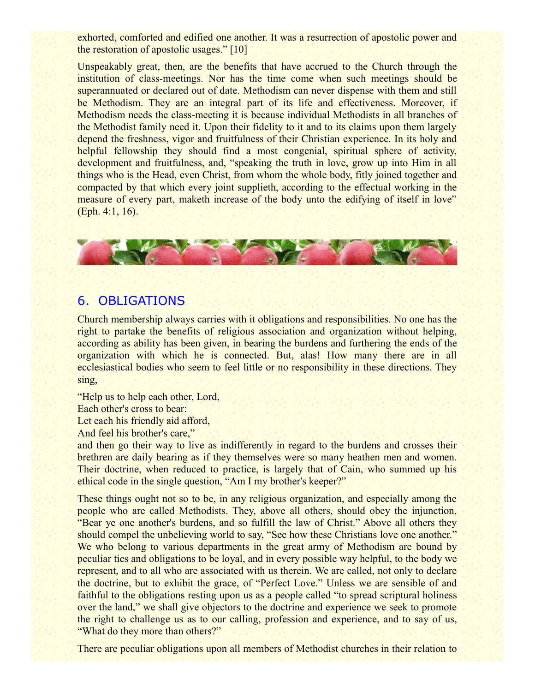exhorted, comforted and edified one another. It was a resurrection of apostolic power and the restoration of apostolic usages." [10]

Unspeakably great, then, are the benefits that have accrued to the Church through the institution of class-meetings. Nor has the time come when such meetings should be superannuated or declared out of date. Methodism can never dispense with them and still be Methodism. They are an integral part of its life and effectiveness. Moreover, if Methodism needs the class-meeting it is because individual Methodists in all branches of the Methodist family need it. Upon their fidelity to it and to its claims upon them largely depend the freshness, vigor and fruitfulness of their Christian experience. In its holy and helpful fellowship they should find a most congenial, spiritual sphere of activity, development and fruitfulness, and, "speaking the truth in love, grow up into Him in all things who is the Head, even Christ, from whom the whole body, fitly joined together and compacted by that which every joint supplieth, according to the effectual working in the measure of every part, maketh increase of the body unto the edifying of itself in love" (Eph. 4:1, 16).



### 6. OBLIGATIONS

Church membership always carries with it obligations and responsibilities. No one has the right to partake the benefits of religious association and organization without helping, according as ability has been given, in bearing the burdens and furthering the ends of the organization with which he is connected. But, alas! How many there are in all ecclesiastical bodies who seem to feel little or no responsibility in these directions. They sing,

"Help us to help each other, Lord, Each other's cross to bear: Let each his friendly aid afford, And feel his brother's care,"

and then go their way to live as indifferently in regard to the burdens and crosses their brethren are daily bearing as if they themselves were so many heathen men and women. Their doctrine, when reduced to practice, is largely that of Cain, who summed up his ethical code in the single question, "Am I my brother's keeper?"

These things ought not so to be, in any religious organization, and especially among the people who are called Methodists. They, above all others, should obey the injunction, "Bear ye one another's burdens, and so fulfill the law of Christ." Above all others they should compel the unbelieving world to say, "See how these Christians love one another." We who belong to various departments in the great army of Methodism are bound by peculiar ties and obligations to be loyal, and in every possible way helpful, to the body we represent, and to all who are associated with us therein. We are called, not only to declare the doctrine, but to exhibit the grace, of "Perfect Love." Unless we are sensible of and faithful to the obligations resting upon us as a people called "to spread scriptural holiness" over the land," we shall give objectors to the doctrine and experience we seek to promote the right to challenge us as to our calling, profession and experience, and to say of us, "What do they more than others?"

There are peculiar obligations upon all members of Methodist churches in their relation to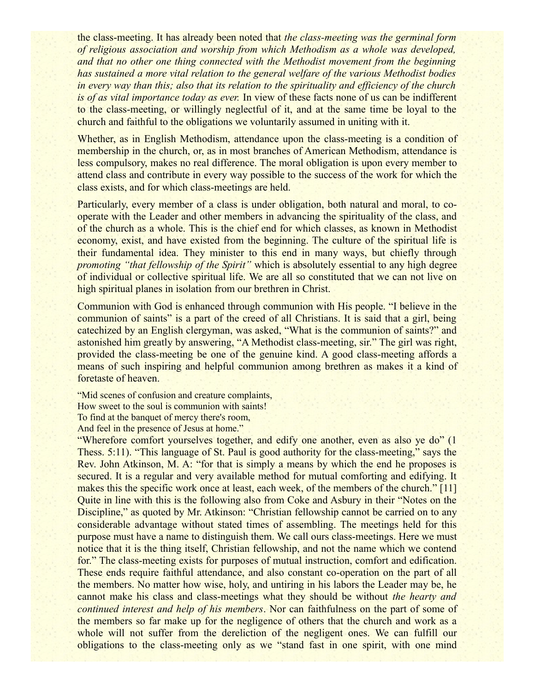the class-meeting. It has already been noted that *the class-meeting was the germinal form of religious association and worship from which Methodism as a whole was developed, and that no other one thing connected with the Methodist movement from the beginning has sustained a more vital relation to the general welfare of the various Methodist bodies in every way than this; also that its relation to the spirituality and efficiency of the church is of as vital importance today as ever.* In view of these facts none of us can be indifferent to the class-meeting, or willingly neglectful of it, and at the same time be loyal to the church and faithful to the obligations we voluntarily assumed in uniting with it.

Whether, as in English Methodism, attendance upon the class-meeting is a condition of membership in the church, or, as in most branches of American Methodism, attendance is less compulsory, makes no real difference. The moral obligation is upon every member to attend class and contribute in every way possible to the success of the work for which the class exists, and for which class-meetings are held.

Particularly, every member of a class is under obligation, both natural and moral, to cooperate with the Leader and other members in advancing the spirituality of the class, and of the church as a whole. This is the chief end for which classes, as known in Methodist economy, exist, and have existed from the beginning. The culture of the spiritual life is their fundamental idea. They minister to this end in many ways, but chiefly through *promoting "that fellowship of the Spirit"* which is absolutely essential to any high degree of individual or collective spiritual life. We are all so constituted that we can not live on high spiritual planes in isolation from our brethren in Christ.

Communion with God is enhanced through communion with His people. "I believe in the communion of saints" is a part of the creed of all Christians. It is said that a girl, being catechized by an English clergyman, was asked, "What is the communion of saints?" and astonished him greatly by answering, "A Methodist class-meeting, sir." The girl was right, provided the class-meeting be one of the genuine kind. A good class-meeting affords a means of such inspiring and helpful communion among brethren as makes it a kind of foretaste of heaven.

"Mid scenes of confusion and creature complaints, How sweet to the soul is communion with saints! To find at the banquet of mercy there's room, And feel in the presence of Jesus at home."

"Wherefore comfort yourselves together, and edify one another, even as also ye do" (1 Thess. 5:11). "This language of St. Paul is good authority for the class-meeting," says the Rev. John Atkinson, M. A: "for that is simply a means by which the end he proposes is secured. It is a regular and very available method for mutual comforting and edifying. It makes this the specific work once at least, each week, of the members of the church." [11] Quite in line with this is the following also from Coke and Asbury in their "Notes on the Discipline," as quoted by Mr. Atkinson: "Christian fellowship cannot be carried on to any considerable advantage without stated times of assembling. The meetings held for this purpose must have a name to distinguish them. We call ours class-meetings. Here we must notice that it is the thing itself, Christian fellowship, and not the name which we contend for." The class-meeting exists for purposes of mutual instruction, comfort and edification. These ends require faithful attendance, and also constant co-operation on the part of all the members. No matter how wise, holy, and untiring in his labors the Leader may be, he cannot make his class and class-meetings what they should be without *the hearty and continued interest and help of his members*. Nor can faithfulness on the part of some of the members so far make up for the negligence of others that the church and work as a whole will not suffer from the dereliction of the negligent ones. We can fulfill our obligations to the class-meeting only as we "stand fast in one spirit, with one mind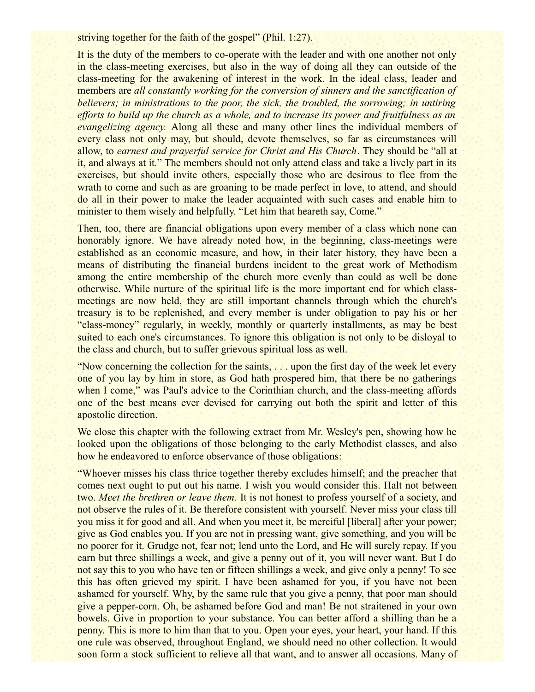striving together for the faith of the gospel" (Phil. 1:27).

It is the duty of the members to co-operate with the leader and with one another not only in the class-meeting exercises, but also in the way of doing all they can outside of the class-meeting for the awakening of interest in the work. In the ideal class, leader and members are *all constantly working for the conversion of sinners and the sanctification of believers; in ministrations to the poor, the sick, the troubled, the sorrowing; in untiring efforts to build up the church as a whole, and to increase its power and fruitfulness as an evangelizing agency.* Along all these and many other lines the individual members of every class not only may, but should, devote themselves, so far as circumstances will allow, to *earnest and prayerful service for Christ and His Church*. They should be "all at it, and always at it." The members should not only attend class and take a lively part in its exercises, but should invite others, especially those who are desirous to flee from the wrath to come and such as are groaning to be made perfect in love, to attend, and should do all in their power to make the leader acquainted with such cases and enable him to minister to them wisely and helpfully. "Let him that heareth say, Come."

Then, too, there are financial obligations upon every member of a class which none can honorably ignore. We have already noted how, in the beginning, class-meetings were established as an economic measure, and how, in their later history, they have been a means of distributing the financial burdens incident to the great work of Methodism among the entire membership of the church more evenly than could as well be done otherwise. While nurture of the spiritual life is the more important end for which classmeetings are now held, they are still important channels through which the church's treasury is to be replenished, and every member is under obligation to pay his or her "class-money" regularly, in weekly, monthly or quarterly installments, as may be best suited to each one's circumstances. To ignore this obligation is not only to be disloyal to the class and church, but to suffer grievous spiritual loss as well.

"Now concerning the collection for the saints, . . . upon the first day of the week let every one of you lay by him in store, as God hath prospered him, that there be no gatherings when I come," was Paul's advice to the Corinthian church, and the class-meeting affords one of the best means ever devised for carrying out both the spirit and letter of this apostolic direction.

We close this chapter with the following extract from Mr. Wesley's pen, showing how he looked upon the obligations of those belonging to the early Methodist classes, and also how he endeavored to enforce observance of those obligations:

"Whoever misses his class thrice together thereby excludes himself; and the preacher that comes next ought to put out his name. I wish you would consider this. Halt not between two. *Meet the brethren or leave them.* It is not honest to profess yourself of a society, and not observe the rules of it. Be therefore consistent with yourself. Never miss your class till you miss it for good and all. And when you meet it, be merciful [liberal] after your power; give as God enables you. If you are not in pressing want, give something, and you will be no poorer for it. Grudge not, fear not; lend unto the Lord, and He will surely repay. If you earn but three shillings a week, and give a penny out of it, you will never want. But I do not say this to you who have ten or fifteen shillings a week, and give only a penny! To see this has often grieved my spirit. I have been ashamed for you, if you have not been ashamed for yourself. Why, by the same rule that you give a penny, that poor man should give a pepper-corn. Oh, be ashamed before God and man! Be not straitened in your own bowels. Give in proportion to your substance. You can better afford a shilling than he a penny. This is more to him than that to you. Open your eyes, your heart, your hand. If this one rule was observed, throughout England, we should need no other collection. It would soon form a stock sufficient to relieve all that want, and to answer all occasions. Many of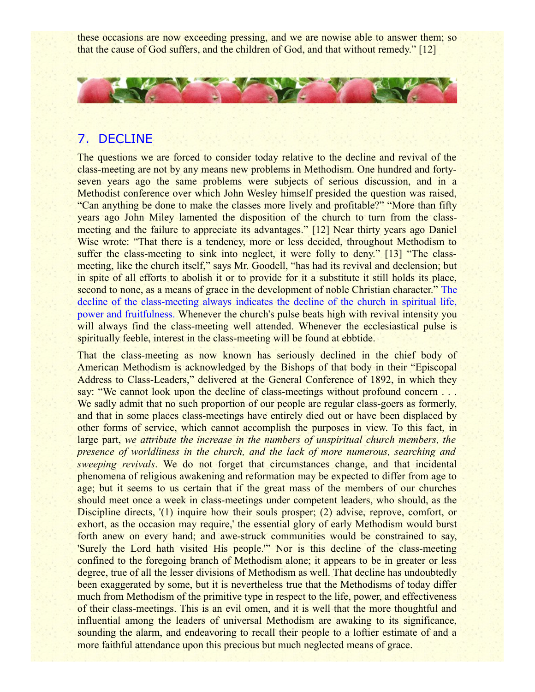these occasions are now exceeding pressing, and we are nowise able to answer them; so that the cause of God suffers, and the children of God, and that without remedy." [12]



## 7. DECLINE

The questions we are forced to consider today relative to the decline and revival of the class-meeting are not by any means new problems in Methodism. One hundred and fortyseven years ago the same problems were subjects of serious discussion, and in a Methodist conference over which John Wesley himself presided the question was raised, "Can anything be done to make the classes more lively and profitable?" "More than fifty years ago John Miley lamented the disposition of the church to turn from the classmeeting and the failure to appreciate its advantages." [12] Near thirty years ago Daniel Wise wrote: "That there is a tendency, more or less decided, throughout Methodism to suffer the class-meeting to sink into neglect, it were folly to deny." [13] "The classmeeting, like the church itself," says Mr. Goodell, "has had its revival and declension; but in spite of all efforts to abolish it or to provide for it a substitute it still holds its place, second to none, as a means of grace in the development of noble Christian character." The decline of the class-meeting always indicates the decline of the church in spiritual life, power and fruitfulness. Whenever the church's pulse beats high with revival intensity you will always find the class-meeting well attended. Whenever the ecclesiastical pulse is spiritually feeble, interest in the class-meeting will be found at ebbtide.

That the class-meeting as now known has seriously declined in the chief body of American Methodism is acknowledged by the Bishops of that body in their "Episcopal Address to Class-Leaders," delivered at the General Conference of 1892, in which they say: "We cannot look upon the decline of class-meetings without profound concern . . . We sadly admit that no such proportion of our people are regular class-goers as formerly, and that in some places class-meetings have entirely died out or have been displaced by other forms of service, which cannot accomplish the purposes in view. To this fact, in large part, *we attribute the increase in the numbers of unspiritual church members, the presence of worldliness in the church, and the lack of more numerous, searching and sweeping revivals*. We do not forget that circumstances change, and that incidental phenomena of religious awakening and reformation may be expected to differ from age to age; but it seems to us certain that if the great mass of the members of our churches should meet once a week in class-meetings under competent leaders, who should, as the Discipline directs, '(1) inquire how their souls prosper; (2) advise, reprove, comfort, or exhort, as the occasion may require,' the essential glory of early Methodism would burst forth anew on every hand; and awe-struck communities would be constrained to say, 'Surely the Lord hath visited His people.'" Nor is this decline of the class-meeting confined to the foregoing branch of Methodism alone; it appears to be in greater or less degree, true of all the lesser divisions of Methodism as well. That decline has undoubtedly been exaggerated by some, but it is nevertheless true that the Methodisms of today differ much from Methodism of the primitive type in respect to the life, power, and effectiveness of their class-meetings. This is an evil omen, and it is well that the more thoughtful and influential among the leaders of universal Methodism are awaking to its significance, sounding the alarm, and endeavoring to recall their people to a loftier estimate of and a more faithful attendance upon this precious but much neglected means of grace.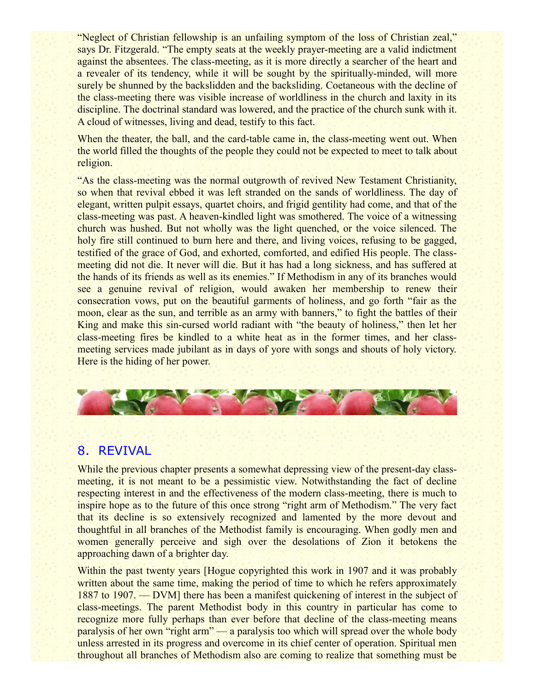"Neglect of Christian fellowship is an unfailing symptom of the loss of Christian zeal," says Dr. Fitzgerald. "The empty seats at the weekly prayer-meeting are a valid indictment against the absentees. The class-meeting, as it is more directly a searcher of the heart and a revealer of its tendency, while it will be sought by the spiritually-minded, will more surely be shunned by the backslidden and the backsliding. Coetaneous with the decline of the class-meeting there was visible increase of worldliness in the church and laxity in its discipline. The doctrinal standard was lowered, and the practice of the church sunk with it. A cloud of witnesses, living and dead, testify to this fact.

When the theater, the ball, and the card-table came in, the class-meeting went out. When the world filled the thoughts of the people they could not be expected to meet to talk about religion.

"As the class-meeting was the normal outgrowth of revived New Testament Christianity, so when that revival ebbed it was left stranded on the sands of worldliness. The day of elegant, written pulpit essays, quartet choirs, and frigid gentility had come, and that of the class-meeting was past. A heaven-kindled light was smothered. The voice of a witnessing church was hushed. But not wholly was the light quenched, or the voice silenced. The holy fire still continued to burn here and there, and living voices, refusing to be gagged, testified of the grace of God, and exhorted, comforted, and edified His people. The classmeeting did not die. It never will die. But it has had a long sickness, and has suffered at the hands of its friends as well as its enemies." If Methodism in any of its branches would see a genuine revival of religion, would awaken her membership to renew their consecration vows, put on the beautiful garments of holiness, and go forth "fair as the moon, clear as the sun, and terrible as an army with banners," to fight the battles of their King and make this sin-cursed world radiant with "the beauty of holiness," then let her class-meeting fires be kindled to a white heat as in the former times, and her classmeeting services made jubilant as in days of yore with songs and shouts of holy victory. Here is the hiding of her power.



### 8. REVIVAL

While the previous chapter presents a somewhat depressing view of the present-day classmeeting, it is not meant to be a pessimistic view. Notwithstanding the fact of decline respecting interest in and the effectiveness of the modern class-meeting, there is much to inspire hope as to the future of this once strong "right arm of Methodism." The very fact that its decline is so extensively recognized and lamented by the more devout and thoughtful in all branches of the Methodist family is encouraging. When godly men and women generally perceive and sigh over the desolations of Zion it betokens the approaching dawn of a brighter day.

Within the past twenty years [Hogue copyrighted this work in 1907 and it was probably written about the same time, making the period of time to which he refers approximately 1887 to 1907. — DVM] there has been a manifest quickening of interest in the subject of class-meetings. The parent Methodist body in this country in particular has come to recognize more fully perhaps than ever before that decline of the class-meeting means paralysis of her own "right arm" — a paralysis too which will spread over the whole body unless arrested in its progress and overcome in its chief center of operation. Spiritual men throughout all branches of Methodism also are coming to realize that something must be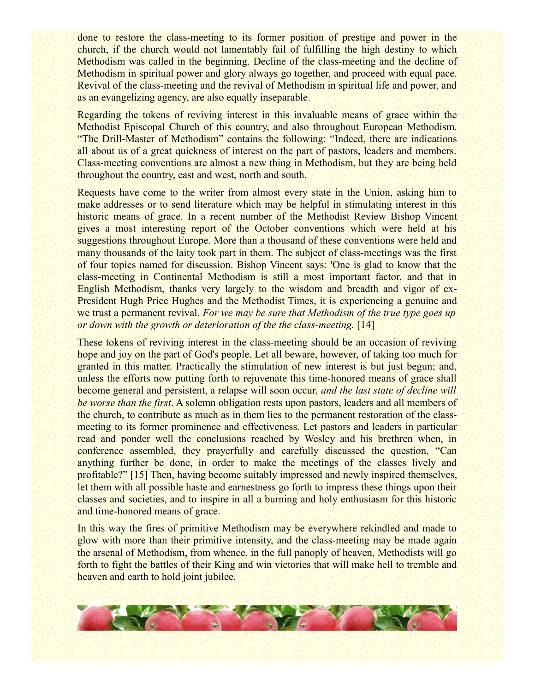done to restore the class-meeting to its former position of prestige and power in the church, if the church would not lamentably fail of fulfilling the high destiny to which Methodism was called in the beginning. Decline of the class-meeting and the decline of Methodism in spiritual power and glory always go together, and proceed with equal pace. Revival of the class-meeting and the revival of Methodism in spiritual life and power, and as an evangelizing agency, are also equally inseparable.

Regarding the tokens of reviving interest in this invaluable means of grace within the Methodist Episcopal Church of this country, and also throughout European Methodism. "The Drill-Master of Methodism" contains the following: "Indeed, there are indications all about us of a great quickness of interest on the part of pastors, leaders and members. Class-meeting conventions are almost a new thing in Methodism, but they are being held throughout the country, east and west, north and south.

Requests have come to the writer from almost every state in the Union, asking him to make addresses or to send literature which may be helpful in stimulating interest in this historic means of grace. In a recent number of the Methodist Review Bishop Vincent gives a most interesting report of the October conventions which were held at his suggestions throughout Europe. More than a thousand of these conventions were held and many thousands of the laity took part in them. The subject of class-meetings was the first of four topics named for discussion. Bishop Vincent says: 'One is glad to know that the class-meeting in Continental Methodism is still a most important factor, and that in English Methodism, thanks very largely to the wisdom and breadth and vigor of ex-President Hugh Price Hughes and the Methodist Times, it is experiencing a genuine and we trust a permanent revival. *For we may be sure that Methodism of the true type goes up or down with the growth or deterioration of the the class-meeting.* [14]

These tokens of reviving interest in the class-meeting should be an occasion of reviving hope and joy on the part of God's people. Let all beware, however, of taking too much for granted in this matter. Practically the stimulation of new interest is but just begun; and, unless the efforts now putting forth to rejuvenate this time-honored means of grace shall become general and persistent, a relapse will soon occur, *and the last state of decline will be worse than the first*. A solemn obligation rests upon pastors, leaders and all members of the church, to contribute as much as in them lies to the permanent restoration of the classmeeting to its former prominence and effectiveness. Let pastors and leaders in particular read and ponder well the conclusions reached by Wesley and his brethren when, in conference assembled, they prayerfully and carefully discussed the question, "Can anything further be done, in order to make the meetings of the classes lively and profitable?" [15] Then, having become suitably impressed and newly inspired themselves, let them with all possible haste and earnestness go forth to impress these things upon their classes and societies, and to inspire in all a burning and holy enthusiasm for this historic and time-honored means of grace.

In this way the fires of primitive Methodism may be everywhere rekindled and made to glow with more than their primitive intensity, and the class-meeting may be made again the arsenal of Methodism, from whence, in the full panoply of heaven, Methodists will go forth to fight the battles of their King and win victories that will make hell to tremble and heaven and earth to hold joint jubilee.

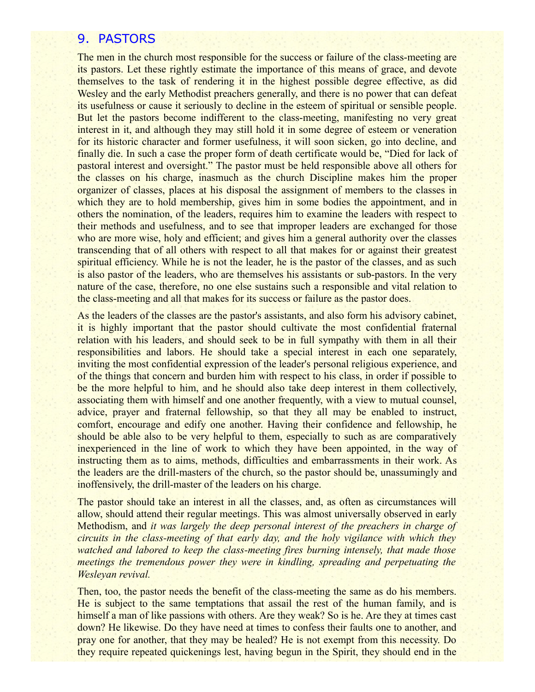### 9. PASTORS

The men in the church most responsible for the success or failure of the class-meeting are its pastors. Let these rightly estimate the importance of this means of grace, and devote themselves to the task of rendering it in the highest possible degree effective, as did Wesley and the early Methodist preachers generally, and there is no power that can defeat its usefulness or cause it seriously to decline in the esteem of spiritual or sensible people. But let the pastors become indifferent to the class-meeting, manifesting no very great interest in it, and although they may still hold it in some degree of esteem or veneration for its historic character and former usefulness, it will soon sicken, go into decline, and finally die. In such a case the proper form of death certificate would be, "Died for lack of pastoral interest and oversight." The pastor must be held responsible above all others for the classes on his charge, inasmuch as the church Discipline makes him the proper organizer of classes, places at his disposal the assignment of members to the classes in which they are to hold membership, gives him in some bodies the appointment, and in others the nomination, of the leaders, requires him to examine the leaders with respect to their methods and usefulness, and to see that improper leaders are exchanged for those who are more wise, holy and efficient; and gives him a general authority over the classes transcending that of all others with respect to all that makes for or against their greatest spiritual efficiency. While he is not the leader, he is the pastor of the classes, and as such is also pastor of the leaders, who are themselves his assistants or sub-pastors. In the very nature of the case, therefore, no one else sustains such a responsible and vital relation to the class-meeting and all that makes for its success or failure as the pastor does.

As the leaders of the classes are the pastor's assistants, and also form his advisory cabinet, it is highly important that the pastor should cultivate the most confidential fraternal relation with his leaders, and should seek to be in full sympathy with them in all their responsibilities and labors. He should take a special interest in each one separately, inviting the most confidential expression of the leader's personal religious experience, and of the things that concern and burden him with respect to his class, in order if possible to be the more helpful to him, and he should also take deep interest in them collectively, associating them with himself and one another frequently, with a view to mutual counsel, advice, prayer and fraternal fellowship, so that they all may be enabled to instruct, comfort, encourage and edify one another. Having their confidence and fellowship, he should be able also to be very helpful to them, especially to such as are comparatively inexperienced in the line of work to which they have been appointed, in the way of instructing them as to aims, methods, difficulties and embarrassments in their work. As the leaders are the drill-masters of the church, so the pastor should be, unassumingly and inoffensively, the drill-master of the leaders on his charge.

The pastor should take an interest in all the classes, and, as often as circumstances will allow, should attend their regular meetings. This was almost universally observed in early Methodism, and *it was largely the deep personal interest of the preachers in charge of circuits in the class-meeting of that early day, and the holy vigilance with which they watched and labored to keep the class-meeting fires burning intensely, that made those meetings the tremendous power they were in kindling, spreading and perpetuating the Wesleyan revival.*

Then, too, the pastor needs the benefit of the class-meeting the same as do his members. He is subject to the same temptations that assail the rest of the human family, and is himself a man of like passions with others. Are they weak? So is he. Are they at times cast down? He likewise. Do they have need at times to confess their faults one to another, and pray one for another, that they may be healed? He is not exempt from this necessity. Do they require repeated quickenings lest, having begun in the Spirit, they should end in the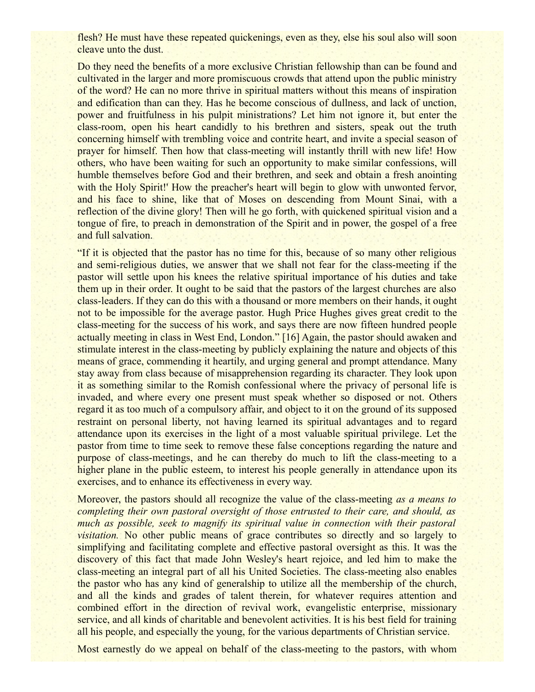flesh? He must have these repeated quickenings, even as they, else his soul also will soon cleave unto the dust.

Do they need the benefits of a more exclusive Christian fellowship than can be found and cultivated in the larger and more promiscuous crowds that attend upon the public ministry of the word? He can no more thrive in spiritual matters without this means of inspiration and edification than can they. Has he become conscious of dullness, and lack of unction, power and fruitfulness in his pulpit ministrations? Let him not ignore it, but enter the class-room, open his heart candidly to his brethren and sisters, speak out the truth concerning himself with trembling voice and contrite heart, and invite a special season of prayer for himself. Then how that class-meeting will instantly thrill with new life! How others, who have been waiting for such an opportunity to make similar confessions, will humble themselves before God and their brethren, and seek and obtain a fresh anointing with the Holy Spirit!' How the preacher's heart will begin to glow with unwonted fervor, and his face to shine, like that of Moses on descending from Mount Sinai, with a reflection of the divine glory! Then will he go forth, with quickened spiritual vision and a tongue of fire, to preach in demonstration of the Spirit and in power, the gospel of a free and full salvation.

"If it is objected that the pastor has no time for this, because of so many other religious and semi-religious duties, we answer that we shall not fear for the class-meeting if the pastor will settle upon his knees the relative spiritual importance of his duties and take them up in their order. It ought to be said that the pastors of the largest churches are also class-leaders. If they can do this with a thousand or more members on their hands, it ought not to be impossible for the average pastor. Hugh Price Hughes gives great credit to the class-meeting for the success of his work, and says there are now fifteen hundred people actually meeting in class in West End, London." [16] Again, the pastor should awaken and stimulate interest in the class-meeting by publicly explaining the nature and objects of this means of grace, commending it heartily, and urging general and prompt attendance. Many stay away from class because of misapprehension regarding its character. They look upon it as something similar to the Romish confessional where the privacy of personal life is invaded, and where every one present must speak whether so disposed or not. Others regard it as too much of a compulsory affair, and object to it on the ground of its supposed restraint on personal liberty, not having learned its spiritual advantages and to regard attendance upon its exercises in the light of a most valuable spiritual privilege. Let the pastor from time to time seek to remove these false conceptions regarding the nature and purpose of class-meetings, and he can thereby do much to lift the class-meeting to a higher plane in the public esteem, to interest his people generally in attendance upon its exercises, and to enhance its effectiveness in every way.

Moreover, the pastors should all recognize the value of the class-meeting *as a means to completing their own pastoral oversight of those entrusted to their care, and should, as much as possible, seek to magnify its spiritual value in connection with their pastoral visitation.* No other public means of grace contributes so directly and so largely to simplifying and facilitating complete and effective pastoral oversight as this. It was the discovery of this fact that made John Wesley's heart rejoice, and led him to make the class-meeting an integral part of all his United Societies. The class-meeting also enables the pastor who has any kind of generalship to utilize all the membership of the church, and all the kinds and grades of talent therein, for whatever requires attention and combined effort in the direction of revival work, evangelistic enterprise, missionary service, and all kinds of charitable and benevolent activities. It is his best field for training all his people, and especially the young, for the various departments of Christian service.

Most earnestly do we appeal on behalf of the class-meeting to the pastors, with whom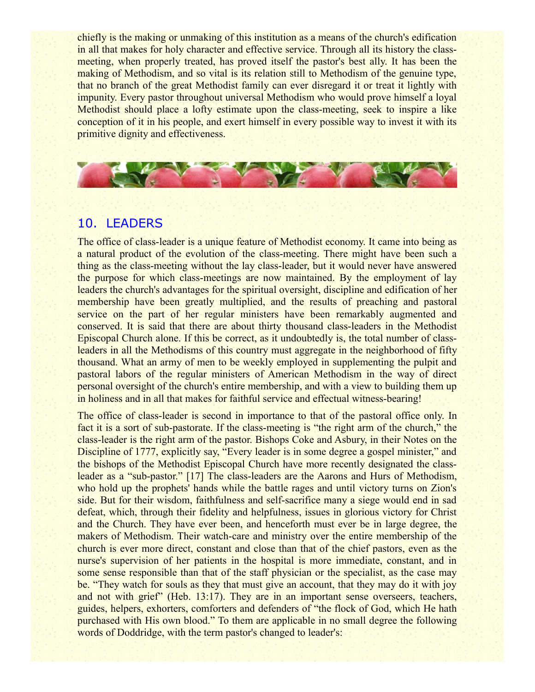chiefly is the making or unmaking of this institution as a means of the church's edification in all that makes for holy character and effective service. Through all its history the classmeeting, when properly treated, has proved itself the pastor's best ally. It has been the making of Methodism, and so vital is its relation still to Methodism of the genuine type, that no branch of the great Methodist family can ever disregard it or treat it lightly with impunity. Every pastor throughout universal Methodism who would prove himself a loyal Methodist should place a lofty estimate upon the class-meeting, seek to inspire a like conception of it in his people, and exert himself in every possible way to invest it with its primitive dignity and effectiveness.



# 10. LEADERS

The office of class-leader is a unique feature of Methodist economy. It came into being as a natural product of the evolution of the class-meeting. There might have been such a thing as the class-meeting without the lay class-leader, but it would never have answered the purpose for which class-meetings are now maintained. By the employment of lay leaders the church's advantages for the spiritual oversight, discipline and edification of her membership have been greatly multiplied, and the results of preaching and pastoral service on the part of her regular ministers have been remarkably augmented and conserved. It is said that there are about thirty thousand class-leaders in the Methodist Episcopal Church alone. If this be correct, as it undoubtedly is, the total number of classleaders in all the Methodisms of this country must aggregate in the neighborhood of fifty thousand. What an army of men to be weekly employed in supplementing the pulpit and pastoral labors of the regular ministers of American Methodism in the way of direct personal oversight of the church's entire membership, and with a view to building them up in holiness and in all that makes for faithful service and effectual witness-bearing!

The office of class-leader is second in importance to that of the pastoral office only. In fact it is a sort of sub-pastorate. If the class-meeting is "the right arm of the church," the class-leader is the right arm of the pastor. Bishops Coke and Asbury, in their Notes on the Discipline of 1777, explicitly say, "Every leader is in some degree a gospel minister," and the bishops of the Methodist Episcopal Church have more recently designated the classleader as a "sub-pastor." [17] The class-leaders are the Aarons and Hurs of Methodism, who hold up the prophets' hands while the battle rages and until victory turns on Zion's side. But for their wisdom, faithfulness and self-sacrifice many a siege would end in sad defeat, which, through their fidelity and helpfulness, issues in glorious victory for Christ and the Church. They have ever been, and henceforth must ever be in large degree, the makers of Methodism. Their watch-care and ministry over the entire membership of the church is ever more direct, constant and close than that of the chief pastors, even as the nurse's supervision of her patients in the hospital is more immediate, constant, and in some sense responsible than that of the staff physician or the specialist, as the case may be. "They watch for souls as they that must give an account, that they may do it with joy and not with grief" (Heb. 13:17). They are in an important sense overseers, teachers, guides, helpers, exhorters, comforters and defenders of "the flock of God, which He hath purchased with His own blood." To them are applicable in no small degree the following words of Doddridge, with the term pastor's changed to leader's: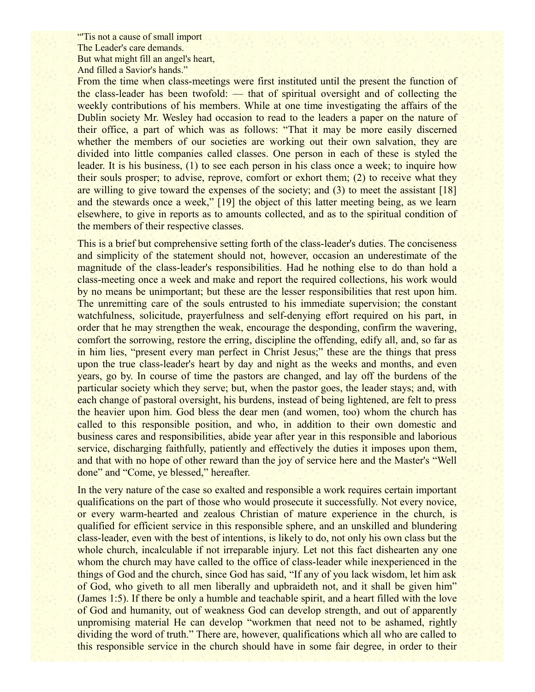"Tis not a cause of small import" The Leader's care demands. But what might fill an angel's heart, And filled a Savior's hands."

From the time when class-meetings were first instituted until the present the function of the class-leader has been twofold: — that of spiritual oversight and of collecting the weekly contributions of his members. While at one time investigating the affairs of the Dublin society Mr. Wesley had occasion to read to the leaders a paper on the nature of their office, a part of which was as follows: "That it may be more easily discerned whether the members of our societies are working out their own salvation, they are divided into little companies called classes. One person in each of these is styled the leader. It is his business, (1) to see each person in his class once a week; to inquire how their souls prosper; to advise, reprove, comfort or exhort them; (2) to receive what they are willing to give toward the expenses of the society; and (3) to meet the assistant [18] and the stewards once a week," [19] the object of this latter meeting being, as we learn elsewhere, to give in reports as to amounts collected, and as to the spiritual condition of the members of their respective classes.

This is a brief but comprehensive setting forth of the class-leader's duties. The conciseness and simplicity of the statement should not, however, occasion an underestimate of the magnitude of the class-leader's responsibilities. Had he nothing else to do than hold a class-meeting once a week and make and report the required collections, his work would by no means be unimportant; but these are the lesser responsibilities that rest upon him. The unremitting care of the souls entrusted to his immediate supervision; the constant watchfulness, solicitude, prayerfulness and self-denying effort required on his part, in order that he may strengthen the weak, encourage the desponding, confirm the wavering, comfort the sorrowing, restore the erring, discipline the offending, edify all, and, so far as in him lies, "present every man perfect in Christ Jesus;" these are the things that press upon the true class-leader's heart by day and night as the weeks and months, and even years, go by. In course of time the pastors are changed, and lay off the burdens of the particular society which they serve; but, when the pastor goes, the leader stays; and, with each change of pastoral oversight, his burdens, instead of being lightened, are felt to press the heavier upon him. God bless the dear men (and women, too) whom the church has called to this responsible position, and who, in addition to their own domestic and business cares and responsibilities, abide year after year in this responsible and laborious service, discharging faithfully, patiently and effectively the duties it imposes upon them, and that with no hope of other reward than the joy of service here and the Master's "Well done" and "Come, ye blessed," hereafter.

In the very nature of the case so exalted and responsible a work requires certain important qualifications on the part of those who would prosecute it successfully. Not every novice, or every warm-hearted and zealous Christian of mature experience in the church, is qualified for efficient service in this responsible sphere, and an unskilled and blundering class-leader, even with the best of intentions, is likely to do, not only his own class but the whole church, incalculable if not irreparable injury. Let not this fact dishearten any one whom the church may have called to the office of class-leader while inexperienced in the things of God and the church, since God has said, "If any of you lack wisdom, let him ask of God, who giveth to all men liberally and upbraideth not, and it shall be given him" (James 1:5). If there be only a humble and teachable spirit, and a heart filled with the love of God and humanity, out of weakness God can develop strength, and out of apparently unpromising material He can develop "workmen that need not to be ashamed, rightly dividing the word of truth." There are, however, qualifications which all who are called to this responsible service in the church should have in some fair degree, in order to their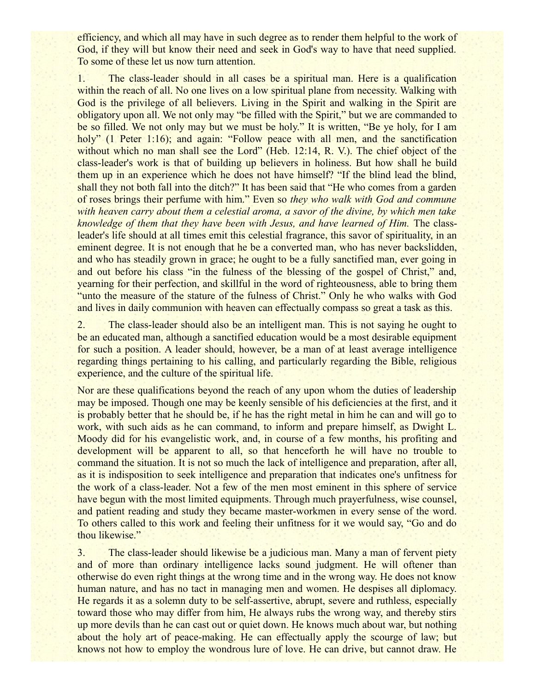efficiency, and which all may have in such degree as to render them helpful to the work of God, if they will but know their need and seek in God's way to have that need supplied. To some of these let us now turn attention.

1. The class-leader should in all cases be a spiritual man. Here is a qualification within the reach of all. No one lives on a low spiritual plane from necessity. Walking with God is the privilege of all believers. Living in the Spirit and walking in the Spirit are obligatory upon all. We not only may "be filled with the Spirit," but we are commanded to be so filled. We not only may but we must be holy." It is written, "Be ye holy, for I am holy" (1 Peter 1:16); and again: "Follow peace with all men, and the sanctification without which no man shall see the Lord" (Heb. 12:14, R. V.). The chief object of the class-leader's work is that of building up believers in holiness. But how shall he build them up in an experience which he does not have himself? "If the blind lead the blind, shall they not both fall into the ditch?" It has been said that "He who comes from a garden of roses brings their perfume with him." Even so *they who walk with God and commune with heaven carry about them a celestial aroma, a savor of the divine, by which men take knowledge of them that they have been with Jesus, and have learned of Him.* The classleader's life should at all times emit this celestial fragrance, this savor of spirituality, in an eminent degree. It is not enough that he be a converted man, who has never backslidden, and who has steadily grown in grace; he ought to be a fully sanctified man, ever going in and out before his class "in the fulness of the blessing of the gospel of Christ," and, yearning for their perfection, and skillful in the word of righteousness, able to bring them "unto the measure of the stature of the fulness of Christ." Only he who walks with God and lives in daily communion with heaven can effectually compass so great a task as this.

2. The class-leader should also be an intelligent man. This is not saying he ought to be an educated man, although a sanctified education would be a most desirable equipment for such a position. A leader should, however, be a man of at least average intelligence regarding things pertaining to his calling, and particularly regarding the Bible, religious experience, and the culture of the spiritual life.

Nor are these qualifications beyond the reach of any upon whom the duties of leadership may be imposed. Though one may be keenly sensible of his deficiencies at the first, and it is probably better that he should be, if he has the right metal in him he can and will go to work, with such aids as he can command, to inform and prepare himself, as Dwight L. Moody did for his evangelistic work, and, in course of a few months, his profiting and development will be apparent to all, so that henceforth he will have no trouble to command the situation. It is not so much the lack of intelligence and preparation, after all, as it is indisposition to seek intelligence and preparation that indicates one's unfitness for the work of a class-leader. Not a few of the men most eminent in this sphere of service have begun with the most limited equipments. Through much prayerfulness, wise counsel, and patient reading and study they became master-workmen in every sense of the word. To others called to this work and feeling their unfitness for it we would say, "Go and do thou likewise."

3. The class-leader should likewise be a judicious man. Many a man of fervent piety and of more than ordinary intelligence lacks sound judgment. He will oftener than otherwise do even right things at the wrong time and in the wrong way. He does not know human nature, and has no tact in managing men and women. He despises all diplomacy. He regards it as a solemn duty to be self-assertive, abrupt, severe and ruthless, especially toward those who may differ from him, He always rubs the wrong way, and thereby stirs up more devils than he can cast out or quiet down. He knows much about war, but nothing about the holy art of peace-making. He can effectually apply the scourge of law; but knows not how to employ the wondrous lure of love. He can drive, but cannot draw. He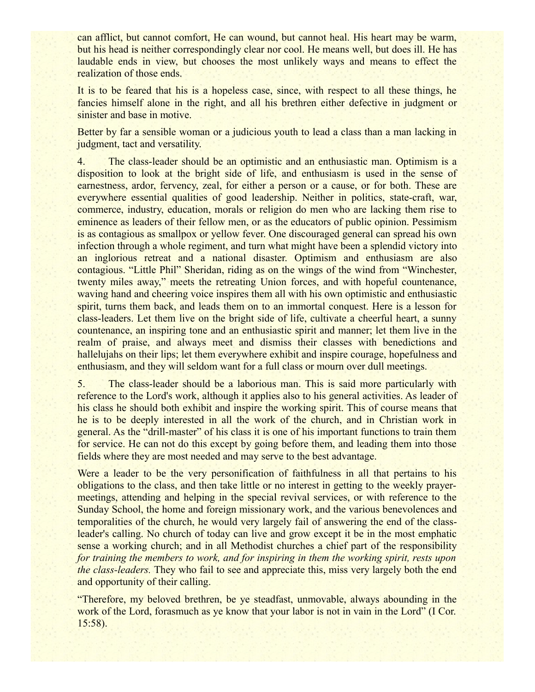can afflict, but cannot comfort, He can wound, but cannot heal. His heart may be warm, but his head is neither correspondingly clear nor cool. He means well, but does ill. He has laudable ends in view, but chooses the most unlikely ways and means to effect the realization of those ends.

It is to be feared that his is a hopeless case, since, with respect to all these things, he fancies himself alone in the right, and all his brethren either defective in judgment or sinister and base in motive.

Better by far a sensible woman or a judicious youth to lead a class than a man lacking in judgment, tact and versatility.

4. The class-leader should be an optimistic and an enthusiastic man. Optimism is a disposition to look at the bright side of life, and enthusiasm is used in the sense of earnestness, ardor, fervency, zeal, for either a person or a cause, or for both. These are everywhere essential qualities of good leadership. Neither in politics, state-craft, war, commerce, industry, education, morals or religion do men who are lacking them rise to eminence as leaders of their fellow men, or as the educators of public opinion. Pessimism is as contagious as smallpox or yellow fever. One discouraged general can spread his own infection through a whole regiment, and turn what might have been a splendid victory into an inglorious retreat and a national disaster. Optimism and enthusiasm are also contagious. "Little Phil" Sheridan, riding as on the wings of the wind from "Winchester, twenty miles away," meets the retreating Union forces, and with hopeful countenance, waving hand and cheering voice inspires them all with his own optimistic and enthusiastic spirit, turns them back, and leads them on to an immortal conquest. Here is a lesson for class-leaders. Let them live on the bright side of life, cultivate a cheerful heart, a sunny countenance, an inspiring tone and an enthusiastic spirit and manner; let them live in the realm of praise, and always meet and dismiss their classes with benedictions and hallelujahs on their lips; let them everywhere exhibit and inspire courage, hopefulness and enthusiasm, and they will seldom want for a full class or mourn over dull meetings.

5. The class-leader should be a laborious man. This is said more particularly with reference to the Lord's work, although it applies also to his general activities. As leader of his class he should both exhibit and inspire the working spirit. This of course means that he is to be deeply interested in all the work of the church, and in Christian work in general. As the "drill-master" of his class it is one of his important functions to train them for service. He can not do this except by going before them, and leading them into those fields where they are most needed and may serve to the best advantage.

Were a leader to be the very personification of faithfulness in all that pertains to his obligations to the class, and then take little or no interest in getting to the weekly prayermeetings, attending and helping in the special revival services, or with reference to the Sunday School, the home and foreign missionary work, and the various benevolences and temporalities of the church, he would very largely fail of answering the end of the classleader's calling. No church of today can live and grow except it be in the most emphatic sense a working church; and in all Methodist churches a chief part of the responsibility *for training the members to work, and for inspiring in them the working spirit, rests upon the class-leaders.* They who fail to see and appreciate this, miss very largely both the end and opportunity of their calling.

"Therefore, my beloved brethren, be ye steadfast, unmovable, always abounding in the work of the Lord, forasmuch as ye know that your labor is not in vain in the Lord" (I Cor. 15:58).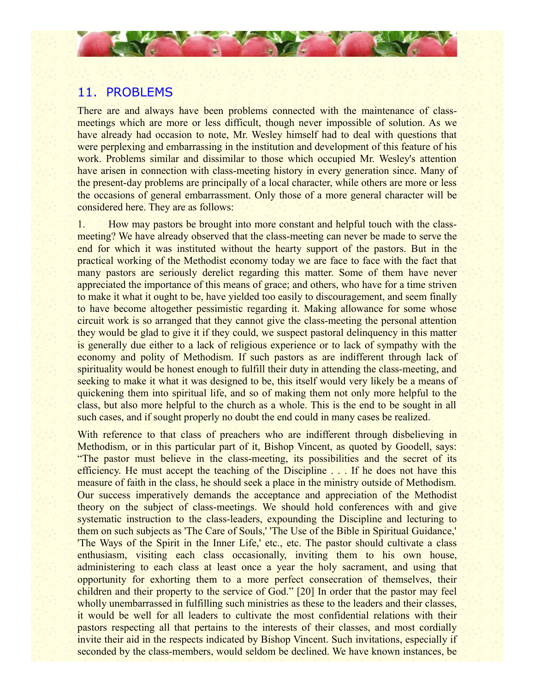### 11. PROBLEMS

There are and always have been problems connected with the maintenance of classmeetings which are more or less difficult, though never impossible of solution. As we have already had occasion to note, Mr. Wesley himself had to deal with questions that were perplexing and embarrassing in the institution and development of this feature of his work. Problems similar and dissimilar to those which occupied Mr. Wesley's attention have arisen in connection with class-meeting history in every generation since. Many of the present-day problems are principally of a local character, while others are more or less the occasions of general embarrassment. Only those of a more general character will be considered here. They are as follows:

1. How may pastors be brought into more constant and helpful touch with the classmeeting? We have already observed that the class-meeting can never be made to serve the end for which it was instituted without the hearty support of the pastors. But in the practical working of the Methodist economy today we are face to face with the fact that many pastors are seriously derelict regarding this matter. Some of them have never appreciated the importance of this means of grace; and others, who have for a time striven to make it what it ought to be, have yielded too easily to discouragement, and seem finally to have become altogether pessimistic regarding it. Making allowance for some whose circuit work is so arranged that they cannot give the class-meeting the personal attention they would be glad to give it if they could, we suspect pastoral delinquency in this matter is generally due either to a lack of religious experience or to lack of sympathy with the economy and polity of Methodism. If such pastors as are indifferent through lack of spirituality would be honest enough to fulfill their duty in attending the class-meeting, and seeking to make it what it was designed to be, this itself would very likely be a means of quickening them into spiritual life, and so of making them not only more helpful to the class, but also more helpful to the church as a whole. This is the end to be sought in all such cases, and if sought properly no doubt the end could in many cases be realized.

With reference to that class of preachers who are indifferent through disbelieving in Methodism, or in this particular part of it, Bishop Vincent, as quoted by Goodell, says: "The pastor must believe in the class-meeting, its possibilities and the secret of its efficiency. He must accept the teaching of the Discipline . . . If he does not have this measure of faith in the class, he should seek a place in the ministry outside of Methodism. Our success imperatively demands the acceptance and appreciation of the Methodist theory on the subject of class-meetings. We should hold conferences with and give systematic instruction to the class-leaders, expounding the Discipline and lecturing to them on such subjects as 'The Care of Souls,' 'The Use of the Bible in Spiritual Guidance,' 'The Ways of the Spirit in the Inner Life,' etc., etc. The pastor should cultivate a class enthusiasm, visiting each class occasionally, inviting them to his own house, administering to each class at least once a year the holy sacrament, and using that opportunity for exhorting them to a more perfect consecration of themselves, their children and their property to the service of God." [20] In order that the pastor may feel wholly unembarrassed in fulfilling such ministries as these to the leaders and their classes, it would be well for all leaders to cultivate the most confidential relations with their pastors respecting all that pertains to the interests of their classes, and most cordially invite their aid in the respects indicated by Bishop Vincent. Such invitations, especially if seconded by the class-members, would seldom be declined. We have known instances, be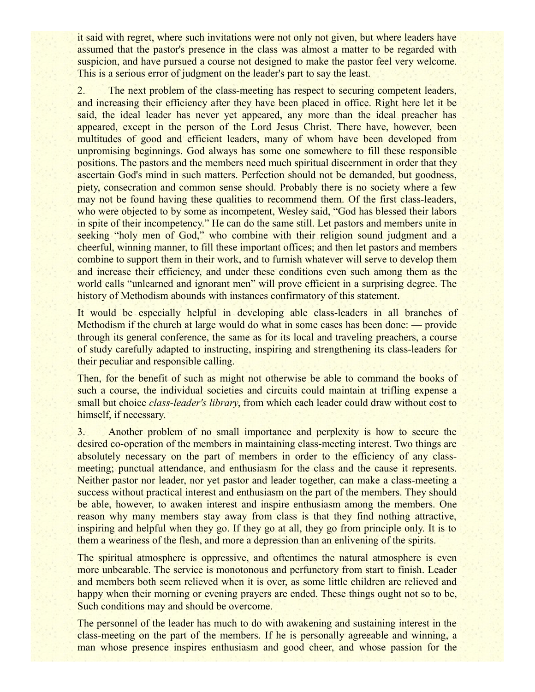it said with regret, where such invitations were not only not given, but where leaders have assumed that the pastor's presence in the class was almost a matter to be regarded with suspicion, and have pursued a course not designed to make the pastor feel very welcome. This is a serious error of judgment on the leader's part to say the least.

2. The next problem of the class-meeting has respect to securing competent leaders, and increasing their efficiency after they have been placed in office. Right here let it be said, the ideal leader has never yet appeared, any more than the ideal preacher has appeared, except in the person of the Lord Jesus Christ. There have, however, been multitudes of good and efficient leaders, many of whom have been developed from unpromising beginnings. God always has some one somewhere to fill these responsible positions. The pastors and the members need much spiritual discernment in order that they ascertain God's mind in such matters. Perfection should not be demanded, but goodness, piety, consecration and common sense should. Probably there is no society where a few may not be found having these qualities to recommend them. Of the first class-leaders, who were objected to by some as incompetent, Wesley said, "God has blessed their labors" in spite of their incompetency." He can do the same still. Let pastors and members unite in seeking "holy men of God," who combine with their religion sound judgment and a cheerful, winning manner, to fill these important offices; and then let pastors and members combine to support them in their work, and to furnish whatever will serve to develop them and increase their efficiency, and under these conditions even such among them as the world calls "unlearned and ignorant men" will prove efficient in a surprising degree. The history of Methodism abounds with instances confirmatory of this statement.

It would be especially helpful in developing able class-leaders in all branches of Methodism if the church at large would do what in some cases has been done: — provide through its general conference, the same as for its local and traveling preachers, a course of study carefully adapted to instructing, inspiring and strengthening its class-leaders for their peculiar and responsible calling.

Then, for the benefit of such as might not otherwise be able to command the books of such a course, the individual societies and circuits could maintain at trifling expense a small but choice *class-leader's library*, from which each leader could draw without cost to himself, if necessary.

3. Another problem of no small importance and perplexity is how to secure the desired co-operation of the members in maintaining class-meeting interest. Two things are absolutely necessary on the part of members in order to the efficiency of any classmeeting; punctual attendance, and enthusiasm for the class and the cause it represents. Neither pastor nor leader, nor yet pastor and leader together, can make a class-meeting a success without practical interest and enthusiasm on the part of the members. They should be able, however, to awaken interest and inspire enthusiasm among the members. One reason why many members stay away from class is that they find nothing attractive, inspiring and helpful when they go. If they go at all, they go from principle only. It is to them a weariness of the flesh, and more a depression than an enlivening of the spirits.

The spiritual atmosphere is oppressive, and oftentimes the natural atmosphere is even more unbearable. The service is monotonous and perfunctory from start to finish. Leader and members both seem relieved when it is over, as some little children are relieved and happy when their morning or evening prayers are ended. These things ought not so to be, Such conditions may and should be overcome.

The personnel of the leader has much to do with awakening and sustaining interest in the class-meeting on the part of the members. If he is personally agreeable and winning, a man whose presence inspires enthusiasm and good cheer, and whose passion for the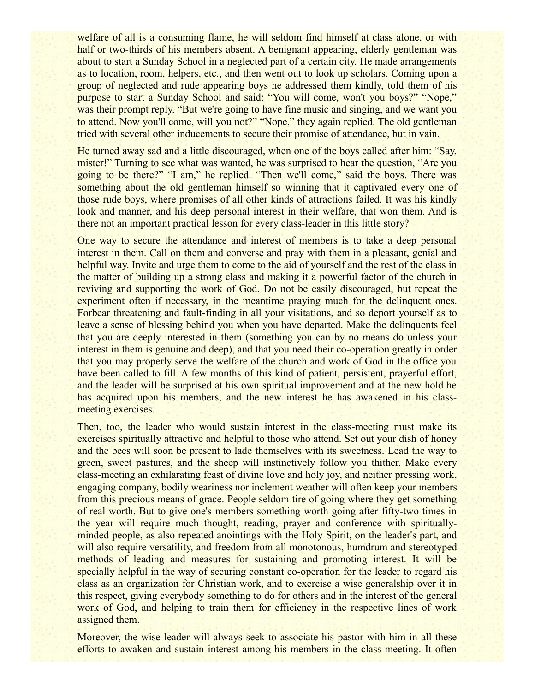welfare of all is a consuming flame, he will seldom find himself at class alone, or with half or two-thirds of his members absent. A benignant appearing, elderly gentleman was about to start a Sunday School in a neglected part of a certain city. He made arrangements as to location, room, helpers, etc., and then went out to look up scholars. Coming upon a group of neglected and rude appearing boys he addressed them kindly, told them of his purpose to start a Sunday School and said: "You will come, won't you boys?" "Nope," was their prompt reply. "But we're going to have fine music and singing, and we want you to attend. Now you'll come, will you not?" "Nope," they again replied. The old gentleman tried with several other inducements to secure their promise of attendance, but in vain.

He turned away sad and a little discouraged, when one of the boys called after him: "Say, mister!" Turning to see what was wanted, he was surprised to hear the question, "Are you going to be there?" "I am," he replied. "Then we'll come," said the boys. There was something about the old gentleman himself so winning that it captivated every one of those rude boys, where promises of all other kinds of attractions failed. It was his kindly look and manner, and his deep personal interest in their welfare, that won them. And is there not an important practical lesson for every class-leader in this little story?

One way to secure the attendance and interest of members is to take a deep personal interest in them. Call on them and converse and pray with them in a pleasant, genial and helpful way. Invite and urge them to come to the aid of yourself and the rest of the class in the matter of building up a strong class and making it a powerful factor of the church in reviving and supporting the work of God. Do not be easily discouraged, but repeat the experiment often if necessary, in the meantime praying much for the delinquent ones. Forbear threatening and fault-finding in all your visitations, and so deport yourself as to leave a sense of blessing behind you when you have departed. Make the delinquents feel that you are deeply interested in them (something you can by no means do unless your interest in them is genuine and deep), and that you need their co-operation greatly in order that you may properly serve the welfare of the church and work of God in the office you have been called to fill. A few months of this kind of patient, persistent, prayerful effort, and the leader will be surprised at his own spiritual improvement and at the new hold he has acquired upon his members, and the new interest he has awakened in his classmeeting exercises.

Then, too, the leader who would sustain interest in the class-meeting must make its exercises spiritually attractive and helpful to those who attend. Set out your dish of honey and the bees will soon be present to lade themselves with its sweetness. Lead the way to green, sweet pastures, and the sheep will instinctively follow you thither. Make every class-meeting an exhilarating feast of divine love and holy joy, and neither pressing work, engaging company, bodily weariness nor inclement weather will often keep your members from this precious means of grace. People seldom tire of going where they get something of real worth. But to give one's members something worth going after fifty-two times in the year will require much thought, reading, prayer and conference with spirituallyminded people, as also repeated anointings with the Holy Spirit, on the leader's part, and will also require versatility, and freedom from all monotonous, humdrum and stereotyped methods of leading and measures for sustaining and promoting interest. It will be specially helpful in the way of securing constant co-operation for the leader to regard his class as an organization for Christian work, and to exercise a wise generalship over it in this respect, giving everybody something to do for others and in the interest of the general work of God, and helping to train them for efficiency in the respective lines of work assigned them.

Moreover, the wise leader will always seek to associate his pastor with him in all these efforts to awaken and sustain interest among his members in the class-meeting. It often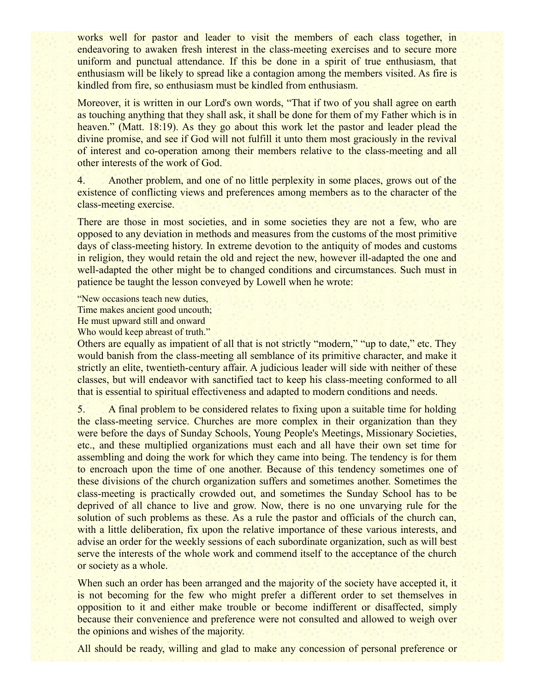works well for pastor and leader to visit the members of each class together, in endeavoring to awaken fresh interest in the class-meeting exercises and to secure more uniform and punctual attendance. If this be done in a spirit of true enthusiasm, that enthusiasm will be likely to spread like a contagion among the members visited. As fire is kindled from fire, so enthusiasm must be kindled from enthusiasm.

Moreover, it is written in our Lord's own words, "That if two of you shall agree on earth as touching anything that they shall ask, it shall be done for them of my Father which is in heaven." (Matt. 18:19). As they go about this work let the pastor and leader plead the divine promise, and see if God will not fulfill it unto them most graciously in the revival of interest and co-operation among their members relative to the class-meeting and all other interests of the work of God.

4. Another problem, and one of no little perplexity in some places, grows out of the existence of conflicting views and preferences among members as to the character of the class-meeting exercise.

There are those in most societies, and in some societies they are not a few, who are opposed to any deviation in methods and measures from the customs of the most primitive days of class-meeting history. In extreme devotion to the antiquity of modes and customs in religion, they would retain the old and reject the new, however ill-adapted the one and well-adapted the other might be to changed conditions and circumstances. Such must in patience be taught the lesson conveyed by Lowell when he wrote:

"New occasions teach new duties,

Time makes ancient good uncouth;

He must upward still and onward

Who would keep abreast of truth."

Others are equally as impatient of all that is not strictly "modern," "up to date," etc. They would banish from the class-meeting all semblance of its primitive character, and make it strictly an elite, twentieth-century affair. A judicious leader will side with neither of these classes, but will endeavor with sanctified tact to keep his class-meeting conformed to all that is essential to spiritual effectiveness and adapted to modern conditions and needs.

5. A final problem to be considered relates to fixing upon a suitable time for holding the class-meeting service. Churches are more complex in their organization than they were before the days of Sunday Schools, Young People's Meetings, Missionary Societies, etc., and these multiplied organizations must each and all have their own set time for assembling and doing the work for which they came into being. The tendency is for them to encroach upon the time of one another. Because of this tendency sometimes one of these divisions of the church organization suffers and sometimes another. Sometimes the class-meeting is practically crowded out, and sometimes the Sunday School has to be deprived of all chance to live and grow. Now, there is no one unvarying rule for the solution of such problems as these. As a rule the pastor and officials of the church can, with a little deliberation, fix upon the relative importance of these various interests, and advise an order for the weekly sessions of each subordinate organization, such as will best serve the interests of the whole work and commend itself to the acceptance of the church or society as a whole.

When such an order has been arranged and the majority of the society have accepted it, it is not becoming for the few who might prefer a different order to set themselves in opposition to it and either make trouble or become indifferent or disaffected, simply because their convenience and preference were not consulted and allowed to weigh over the opinions and wishes of the majority.

All should be ready, willing and glad to make any concession of personal preference or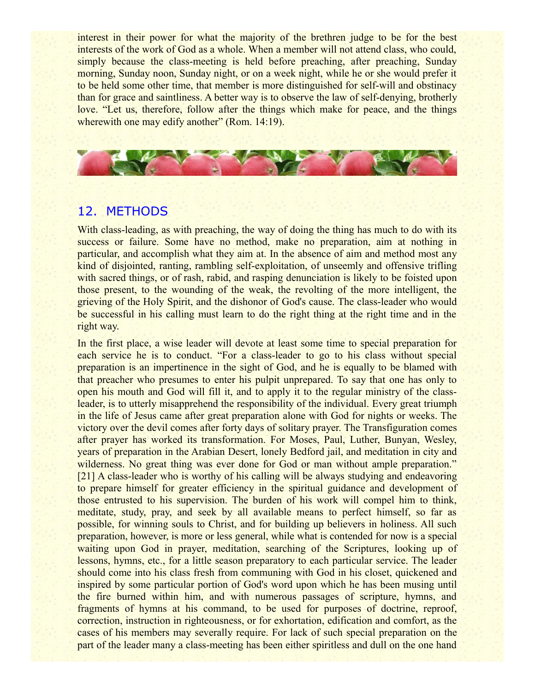interest in their power for what the majority of the brethren judge to be for the best interests of the work of God as a whole. When a member will not attend class, who could, simply because the class-meeting is held before preaching, after preaching, Sunday morning, Sunday noon, Sunday night, or on a week night, while he or she would prefer it to be held some other time, that member is more distinguished for self-will and obstinacy than for grace and saintliness. A better way is to observe the law of self-denying, brotherly love. "Let us, therefore, follow after the things which make for peace, and the things wherewith one may edify another" (Rom. 14:19).



#### 12. METHODS

With class-leading, as with preaching, the way of doing the thing has much to do with its success or failure. Some have no method, make no preparation, aim at nothing in particular, and accomplish what they aim at. In the absence of aim and method most any kind of disjointed, ranting, rambling self-exploitation, of unseemly and offensive trifling with sacred things, or of rash, rabid, and rasping denunciation is likely to be foisted upon those present, to the wounding of the weak, the revolting of the more intelligent, the grieving of the Holy Spirit, and the dishonor of God's cause. The class-leader who would be successful in his calling must learn to do the right thing at the right time and in the right way.

In the first place, a wise leader will devote at least some time to special preparation for each service he is to conduct. "For a class-leader to go to his class without special preparation is an impertinence in the sight of God, and he is equally to be blamed with that preacher who presumes to enter his pulpit unprepared. To say that one has only to open his mouth and God will fill it, and to apply it to the regular ministry of the classleader, is to utterly misapprehend the responsibility of the individual. Every great triumph in the life of Jesus came after great preparation alone with God for nights or weeks. The victory over the devil comes after forty days of solitary prayer. The Transfiguration comes after prayer has worked its transformation. For Moses, Paul, Luther, Bunyan, Wesley, years of preparation in the Arabian Desert, lonely Bedford jail, and meditation in city and wilderness. No great thing was ever done for God or man without ample preparation." [21] A class-leader who is worthy of his calling will be always studying and endeavoring to prepare himself for greater efficiency in the spiritual guidance and development of those entrusted to his supervision. The burden of his work will compel him to think, meditate, study, pray, and seek by all available means to perfect himself, so far as possible, for winning souls to Christ, and for building up believers in holiness. All such preparation, however, is more or less general, while what is contended for now is a special waiting upon God in prayer, meditation, searching of the Scriptures, looking up of lessons, hymns, etc., for a little season preparatory to each particular service. The leader should come into his class fresh from communing with God in his closet, quickened and inspired by some particular portion of God's word upon which he has been musing until the fire burned within him, and with numerous passages of scripture, hymns, and fragments of hymns at his command, to be used for purposes of doctrine, reproof, correction, instruction in righteousness, or for exhortation, edification and comfort, as the cases of his members may severally require. For lack of such special preparation on the part of the leader many a class-meeting has been either spiritless and dull on the one hand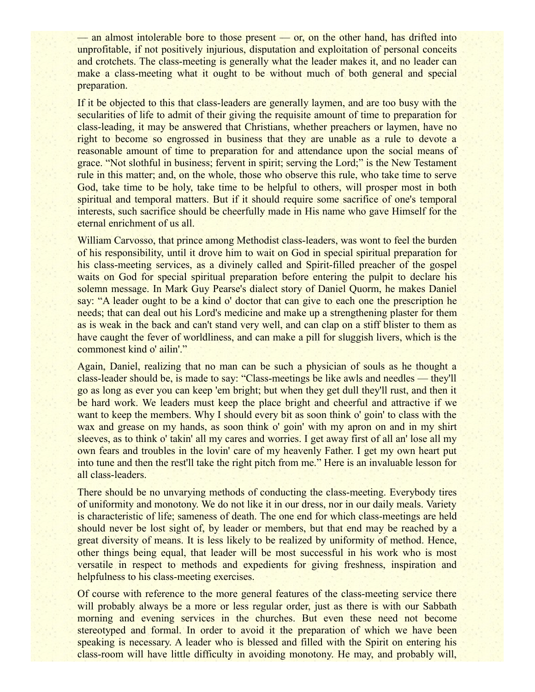— an almost intolerable bore to those present — or, on the other hand, has drifted into unprofitable, if not positively injurious, disputation and exploitation of personal conceits and crotchets. The class-meeting is generally what the leader makes it, and no leader can make a class-meeting what it ought to be without much of both general and special preparation.

If it be objected to this that class-leaders are generally laymen, and are too busy with the secularities of life to admit of their giving the requisite amount of time to preparation for class-leading, it may be answered that Christians, whether preachers or laymen, have no right to become so engrossed in business that they are unable as a rule to devote a reasonable amount of time to preparation for and attendance upon the social means of grace. "Not slothful in business; fervent in spirit; serving the Lord;" is the New Testament rule in this matter; and, on the whole, those who observe this rule, who take time to serve God, take time to be holy, take time to be helpful to others, will prosper most in both spiritual and temporal matters. But if it should require some sacrifice of one's temporal interests, such sacrifice should be cheerfully made in His name who gave Himself for the eternal enrichment of us all.

William Carvosso, that prince among Methodist class-leaders, was wont to feel the burden of his responsibility, until it drove him to wait on God in special spiritual preparation for his class-meeting services, as a divinely called and Spirit-filled preacher of the gospel waits on God for special spiritual preparation before entering the pulpit to declare his solemn message. In Mark Guy Pearse's dialect story of Daniel Quorm, he makes Daniel say: "A leader ought to be a kind o' doctor that can give to each one the prescription he needs; that can deal out his Lord's medicine and make up a strengthening plaster for them as is weak in the back and can't stand very well, and can clap on a stiff blister to them as have caught the fever of worldliness, and can make a pill for sluggish livers, which is the commonest kind o' ailin'."

Again, Daniel, realizing that no man can be such a physician of souls as he thought a class-leader should be, is made to say: "Class-meetings be like awls and needles — they'll go as long as ever you can keep 'em bright; but when they get dull they'll rust, and then it be hard work. We leaders must keep the place bright and cheerful and attractive if we want to keep the members. Why I should every bit as soon think o' goin' to class with the wax and grease on my hands, as soon think o' goin' with my apron on and in my shirt sleeves, as to think o' takin' all my cares and worries. I get away first of all an' lose all my own fears and troubles in the lovin' care of my heavenly Father. I get my own heart put into tune and then the rest'll take the right pitch from me." Here is an invaluable lesson for all class-leaders.

There should be no unvarying methods of conducting the class-meeting. Everybody tires of uniformity and monotony. We do not like it in our dress, nor in our daily meals. Variety is characteristic of life; sameness of death. The one end for which class-meetings are held should never be lost sight of, by leader or members, but that end may be reached by a great diversity of means. It is less likely to be realized by uniformity of method. Hence, other things being equal, that leader will be most successful in his work who is most versatile in respect to methods and expedients for giving freshness, inspiration and helpfulness to his class-meeting exercises.

Of course with reference to the more general features of the class-meeting service there will probably always be a more or less regular order, just as there is with our Sabbath morning and evening services in the churches. But even these need not become stereotyped and formal. In order to avoid it the preparation of which we have been speaking is necessary. A leader who is blessed and filled with the Spirit on entering his class-room will have little difficulty in avoiding monotony. He may, and probably will,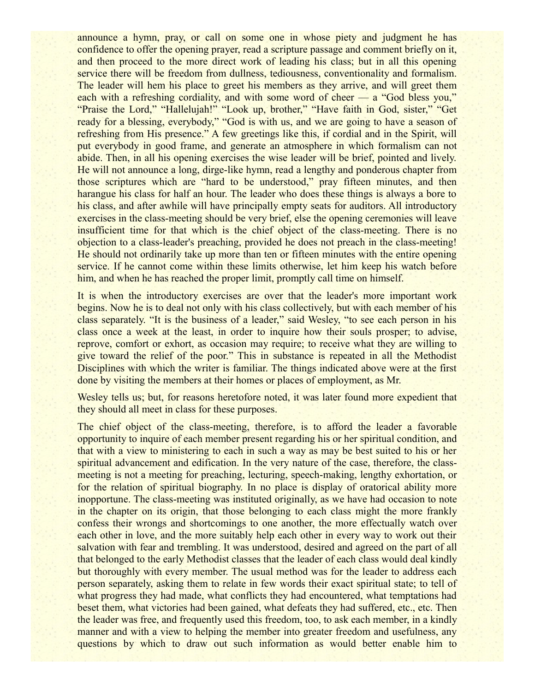announce a hymn, pray, or call on some one in whose piety and judgment he has confidence to offer the opening prayer, read a scripture passage and comment briefly on it, and then proceed to the more direct work of leading his class; but in all this opening service there will be freedom from dullness, tediousness, conventionality and formalism. The leader will hem his place to greet his members as they arrive, and will greet them each with a refreshing cordiality, and with some word of cheer — a "God bless you," "Praise the Lord," "Hallelujah!" "Look up, brother," "Have faith in God, sister," "Get ready for a blessing, everybody," "God is with us, and we are going to have a season of refreshing from His presence." A few greetings like this, if cordial and in the Spirit, will put everybody in good frame, and generate an atmosphere in which formalism can not abide. Then, in all his opening exercises the wise leader will be brief, pointed and lively. He will not announce a long, dirge-like hymn, read a lengthy and ponderous chapter from those scriptures which are "hard to be understood," pray fifteen minutes, and then harangue his class for half an hour. The leader who does these things is always a bore to his class, and after awhile will have principally empty seats for auditors. All introductory exercises in the class-meeting should be very brief, else the opening ceremonies will leave insufficient time for that which is the chief object of the class-meeting. There is no objection to a class-leader's preaching, provided he does not preach in the class-meeting! He should not ordinarily take up more than ten or fifteen minutes with the entire opening service. If he cannot come within these limits otherwise, let him keep his watch before him, and when he has reached the proper limit, promptly call time on himself.

It is when the introductory exercises are over that the leader's more important work begins. Now he is to deal not only with his class collectively, but with each member of his class separately. "It is the business of a leader," said Wesley, "to see each person in his class once a week at the least, in order to inquire how their souls prosper; to advise, reprove, comfort or exhort, as occasion may require; to receive what they are willing to give toward the relief of the poor." This in substance is repeated in all the Methodist Disciplines with which the writer is familiar. The things indicated above were at the first done by visiting the members at their homes or places of employment, as Mr.

Wesley tells us; but, for reasons heretofore noted, it was later found more expedient that they should all meet in class for these purposes.

The chief object of the class-meeting, therefore, is to afford the leader a favorable opportunity to inquire of each member present regarding his or her spiritual condition, and that with a view to ministering to each in such a way as may be best suited to his or her spiritual advancement and edification. In the very nature of the case, therefore, the classmeeting is not a meeting for preaching, lecturing, speech-making, lengthy exhortation, or for the relation of spiritual biography. In no place is display of oratorical ability more inopportune. The class-meeting was instituted originally, as we have had occasion to note in the chapter on its origin, that those belonging to each class might the more frankly confess their wrongs and shortcomings to one another, the more effectually watch over each other in love, and the more suitably help each other in every way to work out their salvation with fear and trembling. It was understood, desired and agreed on the part of all that belonged to the early Methodist classes that the leader of each class would deal kindly but thoroughly with every member. The usual method was for the leader to address each person separately, asking them to relate in few words their exact spiritual state; to tell of what progress they had made, what conflicts they had encountered, what temptations had beset them, what victories had been gained, what defeats they had suffered, etc., etc. Then the leader was free, and frequently used this freedom, too, to ask each member, in a kindly manner and with a view to helping the member into greater freedom and usefulness, any questions by which to draw out such information as would better enable him to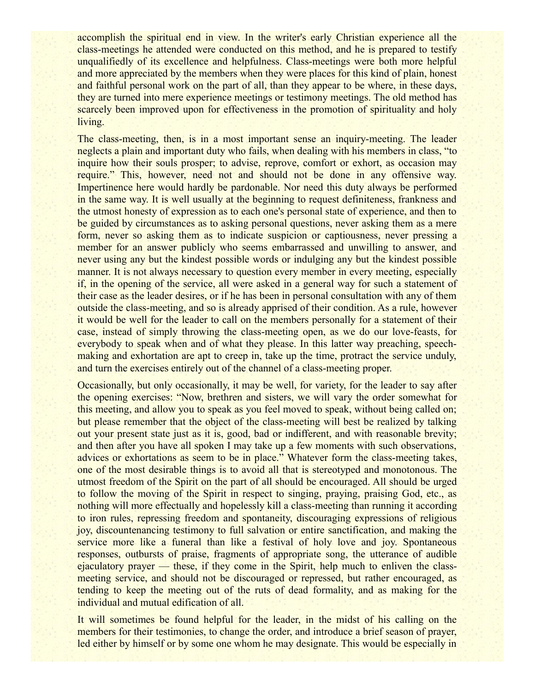accomplish the spiritual end in view. In the writer's early Christian experience all the class-meetings he attended were conducted on this method, and he is prepared to testify unqualifiedly of its excellence and helpfulness. Class-meetings were both more helpful and more appreciated by the members when they were places for this kind of plain, honest and faithful personal work on the part of all, than they appear to be where, in these days, they are turned into mere experience meetings or testimony meetings. The old method has scarcely been improved upon for effectiveness in the promotion of spirituality and holy living.

The class-meeting, then, is in a most important sense an inquiry-meeting. The leader neglects a plain and important duty who fails, when dealing with his members in class, "to inquire how their souls prosper; to advise, reprove, comfort or exhort, as occasion may require." This, however, need not and should not be done in any offensive way. Impertinence here would hardly be pardonable. Nor need this duty always be performed in the same way. It is well usually at the beginning to request definiteness, frankness and the utmost honesty of expression as to each one's personal state of experience, and then to be guided by circumstances as to asking personal questions, never asking them as a mere form, never so asking them as to indicate suspicion or captiousness, never pressing a member for an answer publicly who seems embarrassed and unwilling to answer, and never using any but the kindest possible words or indulging any but the kindest possible manner. It is not always necessary to question every member in every meeting, especially if, in the opening of the service, all were asked in a general way for such a statement of their case as the leader desires, or if he has been in personal consultation with any of them outside the class-meeting, and so is already apprised of their condition. As a rule, however it would be well for the leader to call on the members personally for a statement of their case, instead of simply throwing the class-meeting open, as we do our love-feasts, for everybody to speak when and of what they please. In this latter way preaching, speechmaking and exhortation are apt to creep in, take up the time, protract the service unduly, and turn the exercises entirely out of the channel of a class-meeting proper.

Occasionally, but only occasionally, it may be well, for variety, for the leader to say after the opening exercises: "Now, brethren and sisters, we will vary the order somewhat for this meeting, and allow you to speak as you feel moved to speak, without being called on; but please remember that the object of the class-meeting will best be realized by talking out your present state just as it is, good, bad or indifferent, and with reasonable brevity; and then after you have all spoken I may take up a few moments with such observations, advices or exhortations as seem to be in place." Whatever form the class-meeting takes, one of the most desirable things is to avoid all that is stereotyped and monotonous. The utmost freedom of the Spirit on the part of all should be encouraged. All should be urged to follow the moving of the Spirit in respect to singing, praying, praising God, etc., as nothing will more effectually and hopelessly kill a class-meeting than running it according to iron rules, repressing freedom and spontaneity, discouraging expressions of religious joy, discountenancing testimony to full salvation or entire sanctification, and making the service more like a funeral than like a festival of holy love and joy. Spontaneous responses, outbursts of praise, fragments of appropriate song, the utterance of audible ejaculatory prayer — these, if they come in the Spirit, help much to enliven the classmeeting service, and should not be discouraged or repressed, but rather encouraged, as tending to keep the meeting out of the ruts of dead formality, and as making for the individual and mutual edification of all.

It will sometimes be found helpful for the leader, in the midst of his calling on the members for their testimonies, to change the order, and introduce a brief season of prayer, led either by himself or by some one whom he may designate. This would be especially in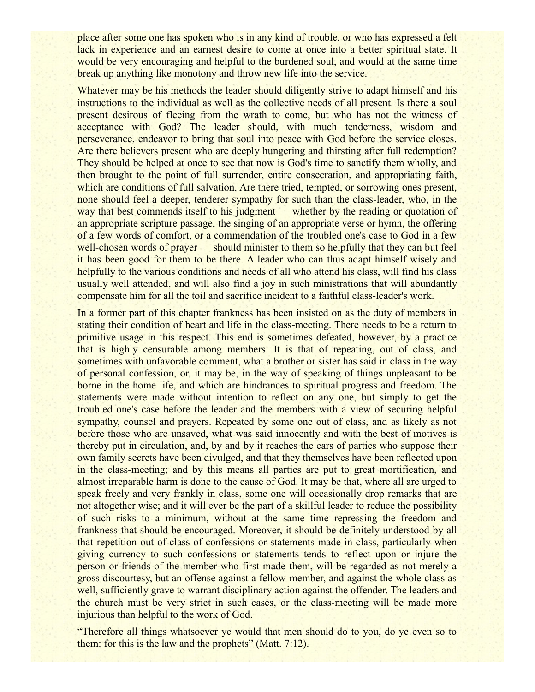place after some one has spoken who is in any kind of trouble, or who has expressed a felt lack in experience and an earnest desire to come at once into a better spiritual state. It would be very encouraging and helpful to the burdened soul, and would at the same time break up anything like monotony and throw new life into the service.

Whatever may be his methods the leader should diligently strive to adapt himself and his instructions to the individual as well as the collective needs of all present. Is there a soul present desirous of fleeing from the wrath to come, but who has not the witness of acceptance with God? The leader should, with much tenderness, wisdom and perseverance, endeavor to bring that soul into peace with God before the service closes. Are there believers present who are deeply hungering and thirsting after full redemption? They should be helped at once to see that now is God's time to sanctify them wholly, and then brought to the point of full surrender, entire consecration, and appropriating faith, which are conditions of full salvation. Are there tried, tempted, or sorrowing ones present, none should feel a deeper, tenderer sympathy for such than the class-leader, who, in the way that best commends itself to his judgment — whether by the reading or quotation of an appropriate scripture passage, the singing of an appropriate verse or hymn, the offering of a few words of comfort, or a commendation of the troubled one's case to God in a few well-chosen words of prayer — should minister to them so helpfully that they can but feel it has been good for them to be there. A leader who can thus adapt himself wisely and helpfully to the various conditions and needs of all who attend his class, will find his class usually well attended, and will also find a joy in such ministrations that will abundantly compensate him for all the toil and sacrifice incident to a faithful class-leader's work.

In a former part of this chapter frankness has been insisted on as the duty of members in stating their condition of heart and life in the class-meeting. There needs to be a return to primitive usage in this respect. This end is sometimes defeated, however, by a practice that is highly censurable among members. It is that of repeating, out of class, and sometimes with unfavorable comment, what a brother or sister has said in class in the way of personal confession, or, it may be, in the way of speaking of things unpleasant to be borne in the home life, and which are hindrances to spiritual progress and freedom. The statements were made without intention to reflect on any one, but simply to get the troubled one's case before the leader and the members with a view of securing helpful sympathy, counsel and prayers. Repeated by some one out of class, and as likely as not before those who are unsaved, what was said innocently and with the best of motives is thereby put in circulation, and, by and by it reaches the ears of parties who suppose their own family secrets have been divulged, and that they themselves have been reflected upon in the class-meeting; and by this means all parties are put to great mortification, and almost irreparable harm is done to the cause of God. It may be that, where all are urged to speak freely and very frankly in class, some one will occasionally drop remarks that are not altogether wise; and it will ever be the part of a skillful leader to reduce the possibility of such risks to a minimum, without at the same time repressing the freedom and frankness that should be encouraged. Moreover, it should be definitely understood by all that repetition out of class of confessions or statements made in class, particularly when giving currency to such confessions or statements tends to reflect upon or injure the person or friends of the member who first made them, will be regarded as not merely a gross discourtesy, but an offense against a fellow-member, and against the whole class as well, sufficiently grave to warrant disciplinary action against the offender. The leaders and the church must be very strict in such cases, or the class-meeting will be made more injurious than helpful to the work of God.

"Therefore all things whatsoever ye would that men should do to you, do ye even so to them: for this is the law and the prophets" (Matt. 7:12).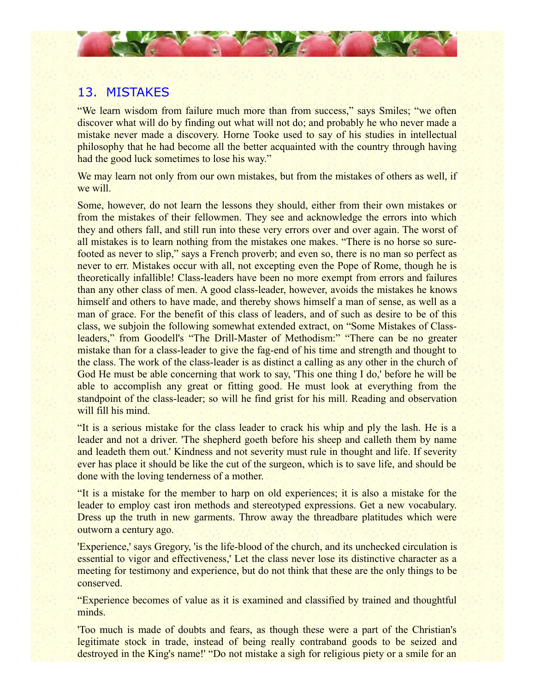

## 13. MISTAKES

"We learn wisdom from failure much more than from success," says Smiles; "we often discover what will do by finding out what will not do; and probably he who never made a mistake never made a discovery. Horne Tooke used to say of his studies in intellectual philosophy that he had become all the better acquainted with the country through having had the good luck sometimes to lose his way."

We may learn not only from our own mistakes, but from the mistakes of others as well, if we will.

Some, however, do not learn the lessons they should, either from their own mistakes or from the mistakes of their fellowmen. They see and acknowledge the errors into which they and others fall, and still run into these very errors over and over again. The worst of all mistakes is to learn nothing from the mistakes one makes. "There is no horse so surefooted as never to slip," says a French proverb; and even so, there is no man so perfect as never to err. Mistakes occur with all, not excepting even the Pope of Rome, though he is theoretically infallible! Class-leaders have been no more exempt from errors and failures than any other class of men. A good class-leader, however, avoids the mistakes he knows himself and others to have made, and thereby shows himself a man of sense, as well as a man of grace. For the benefit of this class of leaders, and of such as desire to be of this class, we subjoin the following somewhat extended extract, on "Some Mistakes of Classleaders," from Goodell's "The Drill-Master of Methodism:" "There can be no greater mistake than for a class-leader to give the fag-end of his time and strength and thought to the class. The work of the class-leader is as distinct a calling as any other in the church of God He must be able concerning that work to say, 'This one thing I do,' before he will be able to accomplish any great or fitting good. He must look at everything from the standpoint of the class-leader; so will he find grist for his mill. Reading and observation will fill his mind.

"It is a serious mistake for the class leader to crack his whip and ply the lash. He is a leader and not a driver. 'The shepherd goeth before his sheep and calleth them by name and leadeth them out.' Kindness and not severity must rule in thought and life. If severity ever has place it should be like the cut of the surgeon, which is to save life, and should be done with the loving tenderness of a mother.

"It is a mistake for the member to harp on old experiences; it is also a mistake for the leader to employ cast iron methods and stereotyped expressions. Get a new vocabulary. Dress up the truth in new garments. Throw away the threadbare platitudes which were outworn a century ago.

'Experience,' says Gregory, 'is the life-blood of the church, and its unchecked circulation is essential to vigor and effectiveness,' Let the class never lose its distinctive character as a meeting for testimony and experience, but do not think that these are the only things to be conserved.

"Experience becomes of value as it is examined and classified by trained and thoughtful minds.

'Too much is made of doubts and fears, as though these were a part of the Christian's legitimate stock in trade, instead of being really contraband goods to be seized and destroyed in the King's name!' "Do not mistake a sigh for religious piety or a smile for an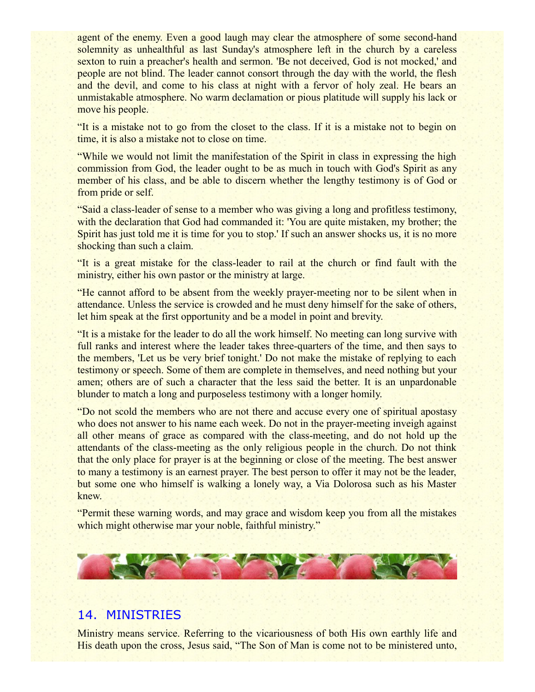agent of the enemy. Even a good laugh may clear the atmosphere of some second-hand solemnity as unhealthful as last Sunday's atmosphere left in the church by a careless sexton to ruin a preacher's health and sermon. 'Be not deceived, God is not mocked,' and people are not blind. The leader cannot consort through the day with the world, the flesh and the devil, and come to his class at night with a fervor of holy zeal. He bears an unmistakable atmosphere. No warm declamation or pious platitude will supply his lack or move his people.

"It is a mistake not to go from the closet to the class. If it is a mistake not to begin on time, it is also a mistake not to close on time.

"While we would not limit the manifestation of the Spirit in class in expressing the high commission from God, the leader ought to be as much in touch with God's Spirit as any member of his class, and be able to discern whether the lengthy testimony is of God or from pride or self.

"Said a class-leader of sense to a member who was giving a long and profitless testimony, with the declaration that God had commanded it: 'You are quite mistaken, my brother; the Spirit has just told me it is time for you to stop.' If such an answer shocks us, it is no more shocking than such a claim.

"It is a great mistake for the class-leader to rail at the church or find fault with the ministry, either his own pastor or the ministry at large.

"He cannot afford to be absent from the weekly prayer-meeting nor to be silent when in attendance. Unless the service is crowded and he must deny himself for the sake of others, let him speak at the first opportunity and be a model in point and brevity.

"It is a mistake for the leader to do all the work himself. No meeting can long survive with full ranks and interest where the leader takes three-quarters of the time, and then says to the members, 'Let us be very brief tonight.' Do not make the mistake of replying to each testimony or speech. Some of them are complete in themselves, and need nothing but your amen; others are of such a character that the less said the better. It is an unpardonable blunder to match a long and purposeless testimony with a longer homily.

"Do not scold the members who are not there and accuse every one of spiritual apostasy who does not answer to his name each week. Do not in the prayer-meeting inveigh against all other means of grace as compared with the class-meeting, and do not hold up the attendants of the class-meeting as the only religious people in the church. Do not think that the only place for prayer is at the beginning or close of the meeting. The best answer to many a testimony is an earnest prayer. The best person to offer it may not be the leader, but some one who himself is walking a lonely way, a Via Dolorosa such as his Master knew.

"Permit these warning words, and may grace and wisdom keep you from all the mistakes which might otherwise mar your noble, faithful ministry."



## 14. MINISTRIES

Ministry means service. Referring to the vicariousness of both His own earthly life and His death upon the cross, Jesus said, "The Son of Man is come not to be ministered unto,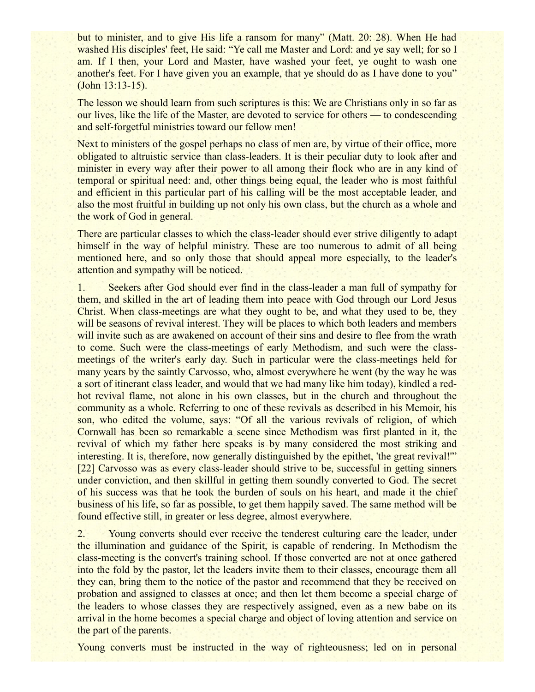but to minister, and to give His life a ransom for many" (Matt. 20: 28). When He had washed His disciples' feet, He said: "Ye call me Master and Lord: and ye say well; for so I am. If I then, your Lord and Master, have washed your feet, ye ought to wash one another's feet. For I have given you an example, that ye should do as I have done to you" (John 13:13-15).

The lesson we should learn from such scriptures is this: We are Christians only in so far as our lives, like the life of the Master, are devoted to service for others — to condescending and self-forgetful ministries toward our fellow men!

Next to ministers of the gospel perhaps no class of men are, by virtue of their office, more obligated to altruistic service than class-leaders. It is their peculiar duty to look after and minister in every way after their power to all among their flock who are in any kind of temporal or spiritual need: and, other things being equal, the leader who is most faithful and efficient in this particular part of his calling will be the most acceptable leader, and also the most fruitful in building up not only his own class, but the church as a whole and the work of God in general.

There are particular classes to which the class-leader should ever strive diligently to adapt himself in the way of helpful ministry. These are too numerous to admit of all being mentioned here, and so only those that should appeal more especially, to the leader's attention and sympathy will be noticed.

1. Seekers after God should ever find in the class-leader a man full of sympathy for them, and skilled in the art of leading them into peace with God through our Lord Jesus Christ. When class-meetings are what they ought to be, and what they used to be, they will be seasons of revival interest. They will be places to which both leaders and members will invite such as are awakened on account of their sins and desire to flee from the wrath to come. Such were the class-meetings of early Methodism, and such were the classmeetings of the writer's early day. Such in particular were the class-meetings held for many years by the saintly Carvosso, who, almost everywhere he went (by the way he was a sort of itinerant class leader, and would that we had many like him today), kindled a redhot revival flame, not alone in his own classes, but in the church and throughout the community as a whole. Referring to one of these revivals as described in his Memoir, his son, who edited the volume, says: "Of all the various revivals of religion, of which Cornwall has been so remarkable a scene since Methodism was first planted in it, the revival of which my father here speaks is by many considered the most striking and interesting. It is, therefore, now generally distinguished by the epithet, 'the great revival!'" [22] Carvosso was as every class-leader should strive to be, successful in getting sinners under conviction, and then skillful in getting them soundly converted to God. The secret of his success was that he took the burden of souls on his heart, and made it the chief business of his life, so far as possible, to get them happily saved. The same method will be found effective still, in greater or less degree, almost everywhere.

2. Young converts should ever receive the tenderest culturing care the leader, under the illumination and guidance of the Spirit, is capable of rendering. In Methodism the class-meeting is the convert's training school. If those converted are not at once gathered into the fold by the pastor, let the leaders invite them to their classes, encourage them all they can, bring them to the notice of the pastor and recommend that they be received on probation and assigned to classes at once; and then let them become a special charge of the leaders to whose classes they are respectively assigned, even as a new babe on its arrival in the home becomes a special charge and object of loving attention and service on the part of the parents.

Young converts must be instructed in the way of righteousness; led on in personal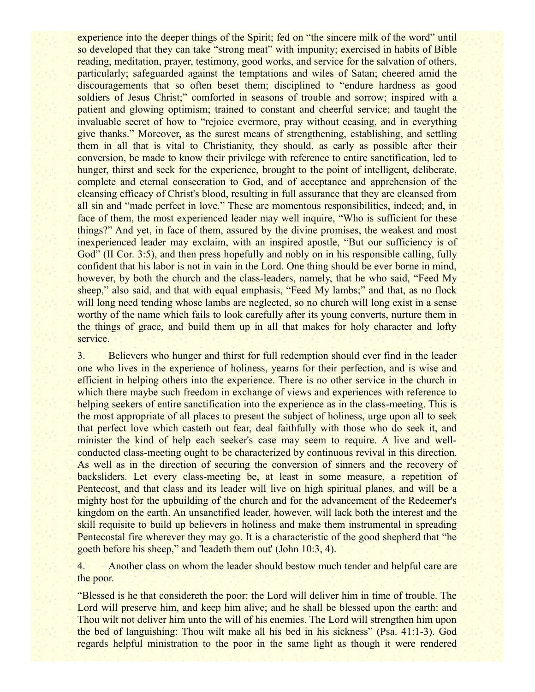experience into the deeper things of the Spirit; fed on "the sincere milk of the word" until so developed that they can take "strong meat" with impunity; exercised in habits of Bible reading, meditation, prayer, testimony, good works, and service for the salvation of others, particularly; safeguarded against the temptations and wiles of Satan; cheered amid the discouragements that so often beset them; disciplined to "endure hardness as good soldiers of Jesus Christ;" comforted in seasons of trouble and sorrow; inspired with a patient and glowing optimism; trained to constant and cheerful service; and taught the invaluable secret of how to "rejoice evermore, pray without ceasing, and in everything give thanks." Moreover, as the surest means of strengthening, establishing, and settling them in all that is vital to Christianity, they should, as early as possible after their conversion, be made to know their privilege with reference to entire sanctification, led to hunger, thirst and seek for the experience, brought to the point of intelligent, deliberate, complete and eternal consecration to God, and of acceptance and apprehension of the cleansing efficacy of Christ's blood, resulting in full assurance that they are cleansed from all sin and "made perfect in love." These are momentous responsibilities, indeed; and, in face of them, the most experienced leader may well inquire, "Who is sufficient for these things?" And yet, in face of them, assured by the divine promises, the weakest and most inexperienced leader may exclaim, with an inspired apostle, "But our sufficiency is of God" (II Cor. 3:5), and then press hopefully and nobly on in his responsible calling, fully confident that his labor is not in vain in the Lord. One thing should be ever borne in mind, however, by both the church and the class-leaders, namely, that he who said, "Feed My sheep," also said, and that with equal emphasis, "Feed My lambs;" and that, as no flock will long need tending whose lambs are neglected, so no church will long exist in a sense worthy of the name which fails to look carefully after its young converts, nurture them in the things of grace, and build them up in all that makes for holy character and lofty service.

3. Believers who hunger and thirst for full redemption should ever find in the leader one who lives in the experience of holiness, yearns for their perfection, and is wise and efficient in helping others into the experience. There is no other service in the church in which there maybe such freedom in exchange of views and experiences with reference to helping seekers of entire sanctification into the experience as in the class-meeting. This is the most appropriate of all places to present the subject of holiness, urge upon all to seek that perfect love which casteth out fear, deal faithfully with those who do seek it, and minister the kind of help each seeker's case may seem to require. A live and wellconducted class-meeting ought to be characterized by continuous revival in this direction. As well as in the direction of securing the conversion of sinners and the recovery of backsliders. Let every class-meeting be, at least in some measure, a repetition of Pentecost, and that class and its leader will live on high spiritual planes, and will be a mighty host for the upbuilding of the church and for the advancement of the Redeemer's kingdom on the earth. An unsanctified leader, however, will lack both the interest and the skill requisite to build up believers in holiness and make them instrumental in spreading Pentecostal fire wherever they may go. It is a characteristic of the good shepherd that "he goeth before his sheep," and 'leadeth them out' (John 10:3, 4).

4. Another class on whom the leader should bestow much tender and helpful care are the poor.

"Blessed is he that considereth the poor: the Lord will deliver him in time of trouble. The Lord will preserve him, and keep him alive; and he shall be blessed upon the earth; and Thou wilt not deliver him unto the will of his enemies. The Lord will strengthen him upon the bed of languishing: Thou wilt make all his bed in his sickness" (Psa. 41:1-3). God regards helpful ministration to the poor in the same light as though it were rendered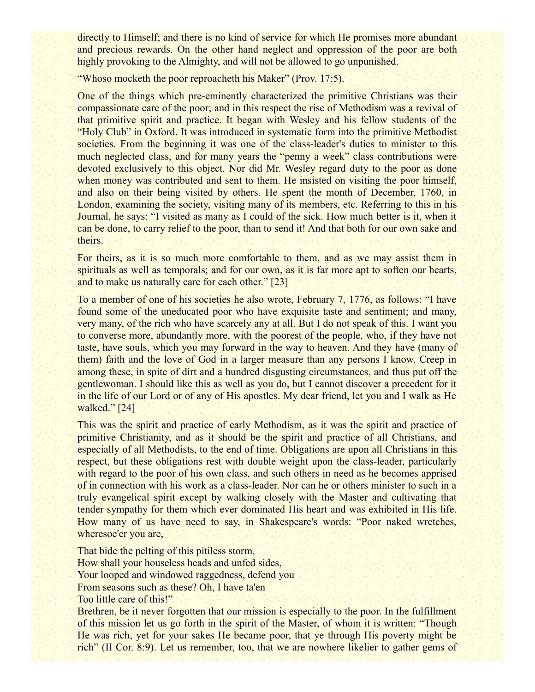directly to Himself; and there is no kind of service for which He promises more abundant and precious rewards. On the other hand neglect and oppression of the poor are both highly provoking to the Almighty, and will not be allowed to go unpunished.

"Whoso mocketh the poor reproacheth his Maker" (Prov. 17:5).

One of the things which pre-eminently characterized the primitive Christians was their compassionate care of the poor; and in this respect the rise of Methodism was a revival of that primitive spirit and practice. It began with Wesley and his fellow students of the "Holy Club" in Oxford. It was introduced in systematic form into the primitive Methodist societies. From the beginning it was one of the class-leader's duties to minister to this much neglected class, and for many years the "penny a week" class contributions were devoted exclusively to this object. Nor did Mr. Wesley regard duty to the poor as done when money was contributed and sent to them. He insisted on visiting the poor himself, and also on their being visited by others. He spent the month of December, 1760, in London, examining the society, visiting many of its members, etc. Referring to this in his Journal, he says: "I visited as many as I could of the sick. How much better is it, when it can be done, to carry relief to the poor, than to send it! And that both for our own sake and theirs.

For theirs, as it is so much more comfortable to them, and as we may assist them in spirituals as well as temporals; and for our own, as it is far more apt to soften our hearts, and to make us naturally care for each other." [23]

To a member of one of his societies he also wrote, February 7, 1776, as follows: "I have found some of the uneducated poor who have exquisite taste and sentiment; and many, very many, of the rich who have scarcely any at all. But I do not speak of this. I want you to converse more, abundantly more, with the poorest of the people, who, if they have not taste, have souls, which you may forward in the way to heaven. And they have (many of them) faith and the love of God in a larger measure than any persons I know. Creep in among these, in spite of dirt and a hundred disgusting circumstances, and thus put off the gentlewoman. I should like this as well as you do, but I cannot discover a precedent for it in the life of our Lord or of any of His apostles. My dear friend, let you and I walk as He walked." [24]

This was the spirit and practice of early Methodism, as it was the spirit and practice of primitive Christianity, and as it should be the spirit and practice of all Christians, and especially of all Methodists, to the end of time. Obligations are upon all Christians in this respect, but these obligations rest with double weight upon the class-leader, particularly with regard to the poor of his own class, and such others in need as he becomes apprised of in connection with his work as a class-leader. Nor can he or others minister to such in a truly evangelical spirit except by walking closely with the Master and cultivating that tender sympathy for them which ever dominated His heart and was exhibited in His life. How many of us have need to say, in Shakespeare's words: "Poor naked wretches, wheresoe'er you are,

That bide the pelting of this pitiless storm,

How shall your houseless heads and unfed sides,

Your looped and windowed raggedness, defend you

From seasons such as these? Oh, I have ta'en

Too little care of this!"

Brethren, be it never forgotten that our mission is especially to the poor. In the fulfillment of this mission let us go forth in the spirit of the Master, of whom it is written: "Though He was rich, yet for your sakes He became poor, that ye through His poverty might be rich" (II Cor. 8:9). Let us remember, too, that we are nowhere likelier to gather gems of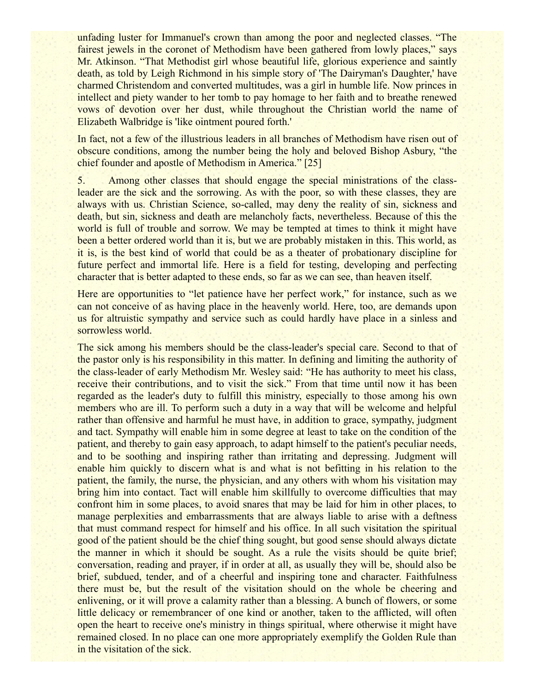unfading luster for Immanuel's crown than among the poor and neglected classes. "The fairest jewels in the coronet of Methodism have been gathered from lowly places," says Mr. Atkinson. "That Methodist girl whose beautiful life, glorious experience and saintly death, as told by Leigh Richmond in his simple story of 'The Dairyman's Daughter,' have charmed Christendom and converted multitudes, was a girl in humble life. Now princes in intellect and piety wander to her tomb to pay homage to her faith and to breathe renewed vows of devotion over her dust, while throughout the Christian world the name of Elizabeth Walbridge is 'like ointment poured forth.'

In fact, not a few of the illustrious leaders in all branches of Methodism have risen out of obscure conditions, among the number being the holy and beloved Bishop Asbury, "the chief founder and apostle of Methodism in America." [25]

5. Among other classes that should engage the special ministrations of the classleader are the sick and the sorrowing. As with the poor, so with these classes, they are always with us. Christian Science, so-called, may deny the reality of sin, sickness and death, but sin, sickness and death are melancholy facts, nevertheless. Because of this the world is full of trouble and sorrow. We may be tempted at times to think it might have been a better ordered world than it is, but we are probably mistaken in this. This world, as it is, is the best kind of world that could be as a theater of probationary discipline for future perfect and immortal life. Here is a field for testing, developing and perfecting character that is better adapted to these ends, so far as we can see, than heaven itself.

Here are opportunities to "let patience have her perfect work," for instance, such as we can not conceive of as having place in the heavenly world. Here, too, are demands upon us for altruistic sympathy and service such as could hardly have place in a sinless and sorrowless world.

The sick among his members should be the class-leader's special care. Second to that of the pastor only is his responsibility in this matter. In defining and limiting the authority of the class-leader of early Methodism Mr. Wesley said: "He has authority to meet his class, receive their contributions, and to visit the sick." From that time until now it has been regarded as the leader's duty to fulfill this ministry, especially to those among his own members who are ill. To perform such a duty in a way that will be welcome and helpful rather than offensive and harmful he must have, in addition to grace, sympathy, judgment and tact. Sympathy will enable him in some degree at least to take on the condition of the patient, and thereby to gain easy approach, to adapt himself to the patient's peculiar needs, and to be soothing and inspiring rather than irritating and depressing. Judgment will enable him quickly to discern what is and what is not befitting in his relation to the patient, the family, the nurse, the physician, and any others with whom his visitation may bring him into contact. Tact will enable him skillfully to overcome difficulties that may confront him in some places, to avoid snares that may be laid for him in other places, to manage perplexities and embarrassments that are always liable to arise with a deftness that must command respect for himself and his office. In all such visitation the spiritual good of the patient should be the chief thing sought, but good sense should always dictate the manner in which it should be sought. As a rule the visits should be quite brief; conversation, reading and prayer, if in order at all, as usually they will be, should also be brief, subdued, tender, and of a cheerful and inspiring tone and character. Faithfulness there must be, but the result of the visitation should on the whole be cheering and enlivening, or it will prove a calamity rather than a blessing. A bunch of flowers, or some little delicacy or remembrancer of one kind or another, taken to the afflicted, will often open the heart to receive one's ministry in things spiritual, where otherwise it might have remained closed. In no place can one more appropriately exemplify the Golden Rule than in the visitation of the sick.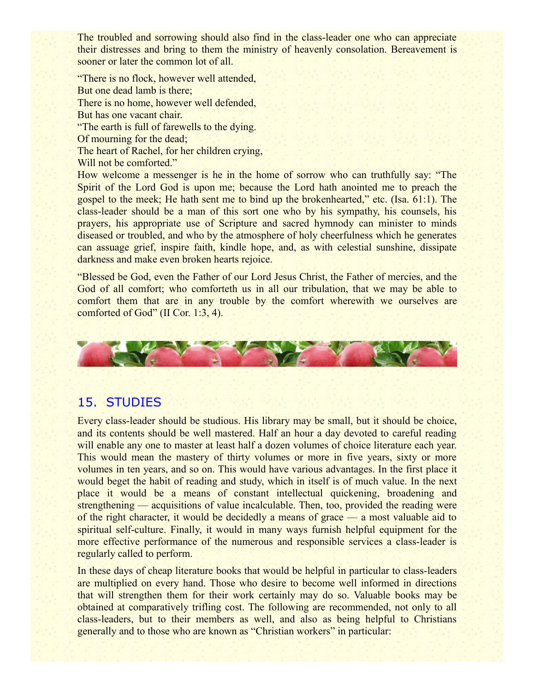The troubled and sorrowing should also find in the class-leader one who can appreciate their distresses and bring to them the ministry of heavenly consolation. Bereavement is sooner or later the common lot of all.

"There is no flock, however well attended, But one dead lamb is there; There is no home, however well defended, But has one vacant chair. "The earth is full of farewells to the dying. Of mourning for the dead; The heart of Rachel, for her children crying, Will not be comforted."

How welcome a messenger is he in the home of sorrow who can truthfully say: "The Spirit of the Lord God is upon me; because the Lord hath anointed me to preach the gospel to the meek; He hath sent me to bind up the brokenhearted," etc. (Isa. 61:1). The class-leader should be a man of this sort one who by his sympathy, his counsels, his prayers, his appropriate use of Scripture and sacred hymnody can minister to minds diseased or troubled, and who by the atmosphere of holy cheerfulness which he generates can assuage grief, inspire faith, kindle hope, and, as with celestial sunshine, dissipate darkness and make even broken hearts rejoice.

"Blessed be God, even the Father of our Lord Jesus Christ, the Father of mercies, and the God of all comfort; who comforteth us in all our tribulation, that we may be able to comfort them that are in any trouble by the comfort wherewith we ourselves are comforted of God" (II Cor. 1:3, 4).



## 15. STUDIES

Every class-leader should be studious. His library may be small, but it should be choice, and its contents should be well mastered. Half an hour a day devoted to careful reading will enable any one to master at least half a dozen volumes of choice literature each year. This would mean the mastery of thirty volumes or more in five years, sixty or more volumes in ten years, and so on. This would have various advantages. In the first place it would beget the habit of reading and study, which in itself is of much value. In the next place it would be a means of constant intellectual quickening, broadening and strengthening — acquisitions of value incalculable. Then, too, provided the reading were of the right character, it would be decidedly a means of grace — a most valuable aid to spiritual self-culture. Finally, it would in many ways furnish helpful equipment for the more effective performance of the numerous and responsible services a class-leader is regularly called to perform.

In these days of cheap literature books that would be helpful in particular to class-leaders are multiplied on every hand. Those who desire to become well informed in directions that will strengthen them for their work certainly may do so. Valuable books may be obtained at comparatively trifling cost. The following are recommended, not only to all class-leaders, but to their members as well, and also as being helpful to Christians generally and to those who are known as "Christian workers" in particular: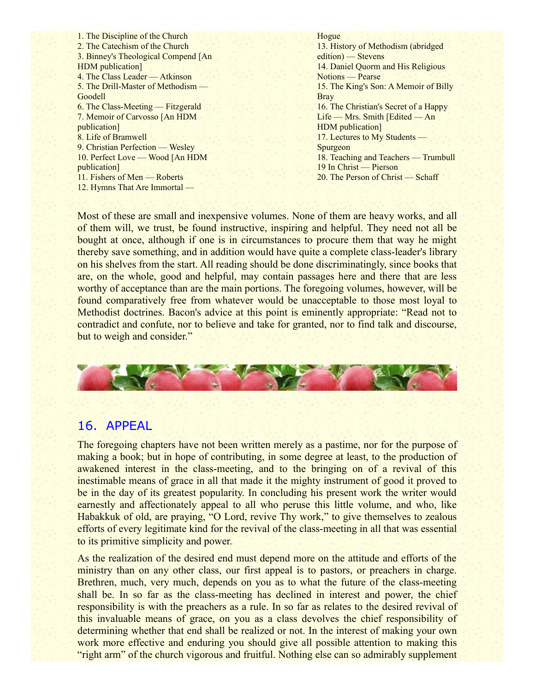1. The Discipline of the Church 2. The Catechism of the Church 3. Binney's Theological Compend [An HDM publication] 4. The Class Leader — Atkinson 5. The Drill-Master of Methodism — Goodell 6. The Class-Meeting — Fitzgerald 7. Memoir of Carvosso [An HDM publication] 8. Life of Bramwell 9. Christian Perfection — Wesley 10. Perfect Love — Wood [An HDM publication] 11. Fishers of Men — Roberts 12. Hymns That Are Immortal —

#### Hogue 13. History of Methodism (abridged edition) — Stevens 14. Daniel Quorm and His Religious Notions — Pearse 15. The King's Son: A Memoir of Billy **Bray** 16. The Christian's Secret of a Happy Life — Mrs. Smith [Edited — An HDM publication] 17. Lectures to My Students — Spurgeon 18. Teaching and Teachers — Trumbull 19 In Christ — Pierson 20. The Person of Christ — Schaff

Most of these are small and inexpensive volumes. None of them are heavy works, and all of them will, we trust, be found instructive, inspiring and helpful. They need not all be bought at once, although if one is in circumstances to procure them that way he might thereby save something, and in addition would have quite a complete class-leader's library on his shelves from the start. All reading should be done discriminatingly, since books that are, on the whole, good and helpful, may contain passages here and there that are less worthy of acceptance than are the main portions. The foregoing volumes, however, will be found comparatively free from whatever would be unacceptable to those most loyal to Methodist doctrines. Bacon's advice at this point is eminently appropriate: "Read not to contradict and confute, nor to believe and take for granted, nor to find talk and discourse, but to weigh and consider."



### 16. APPEAL

The foregoing chapters have not been written merely as a pastime, nor for the purpose of making a book; but in hope of contributing, in some degree at least, to the production of awakened interest in the class-meeting, and to the bringing on of a revival of this inestimable means of grace in all that made it the mighty instrument of good it proved to be in the day of its greatest popularity. In concluding his present work the writer would earnestly and affectionately appeal to all who peruse this little volume, and who, like Habakkuk of old, are praying, "O Lord, revive Thy work," to give themselves to zealous efforts of every legitimate kind for the revival of the class-meeting in all that was essential to its primitive simplicity and power.

As the realization of the desired end must depend more on the attitude and efforts of the ministry than on any other class, our first appeal is to pastors, or preachers in charge. Brethren, much, very much, depends on you as to what the future of the class-meeting shall be. In so far as the class-meeting has declined in interest and power, the chief responsibility is with the preachers as a rule. In so far as relates to the desired revival of this invaluable means of grace, on you as a class devolves the chief responsibility of determining whether that end shall be realized or not. In the interest of making your own work more effective and enduring you should give all possible attention to making this "right arm" of the church vigorous and fruitful. Nothing else can so admirably supplement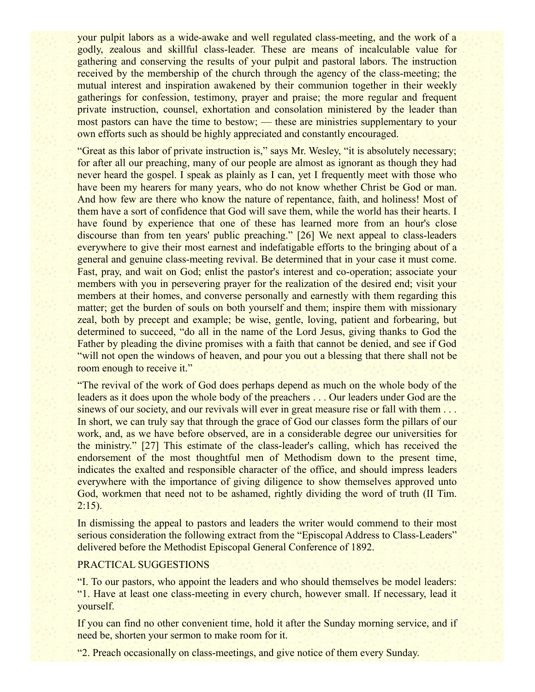your pulpit labors as a wide-awake and well regulated class-meeting, and the work of a godly, zealous and skillful class-leader. These are means of incalculable value for gathering and conserving the results of your pulpit and pastoral labors. The instruction received by the membership of the church through the agency of the class-meeting; the mutual interest and inspiration awakened by their communion together in their weekly gatherings for confession, testimony, prayer and praise; the more regular and frequent private instruction, counsel, exhortation and consolation ministered by the leader than most pastors can have the time to bestow; — these are ministries supplementary to your own efforts such as should be highly appreciated and constantly encouraged.

"Great as this labor of private instruction is," says Mr. Wesley, "it is absolutely necessary; for after all our preaching, many of our people are almost as ignorant as though they had never heard the gospel. I speak as plainly as I can, yet I frequently meet with those who have been my hearers for many years, who do not know whether Christ be God or man. And how few are there who know the nature of repentance, faith, and holiness! Most of them have a sort of confidence that God will save them, while the world has their hearts. I have found by experience that one of these has learned more from an hour's close discourse than from ten years' public preaching." [26] We next appeal to class-leaders everywhere to give their most earnest and indefatigable efforts to the bringing about of a general and genuine class-meeting revival. Be determined that in your case it must come. Fast, pray, and wait on God; enlist the pastor's interest and co-operation; associate your members with you in persevering prayer for the realization of the desired end; visit your members at their homes, and converse personally and earnestly with them regarding this matter; get the burden of souls on both yourself and them; inspire them with missionary zeal, both by precept and example; be wise, gentle, loving, patient and forbearing, but determined to succeed, "do all in the name of the Lord Jesus, giving thanks to God the Father by pleading the divine promises with a faith that cannot be denied, and see if God "will not open the windows of heaven, and pour you out a blessing that there shall not be room enough to receive it."

"The revival of the work of God does perhaps depend as much on the whole body of the leaders as it does upon the whole body of the preachers . . . Our leaders under God are the sinews of our society, and our revivals will ever in great measure rise or fall with them ... In short, we can truly say that through the grace of God our classes form the pillars of our work, and, as we have before observed, are in a considerable degree our universities for the ministry." [27] This estimate of the class-leader's calling, which has received the endorsement of the most thoughtful men of Methodism down to the present time, indicates the exalted and responsible character of the office, and should impress leaders everywhere with the importance of giving diligence to show themselves approved unto God, workmen that need not to be ashamed, rightly dividing the word of truth (II Tim.  $2:15$ ).

In dismissing the appeal to pastors and leaders the writer would commend to their most serious consideration the following extract from the "Episcopal Address to Class-Leaders" delivered before the Methodist Episcopal General Conference of 1892.

#### PRACTICAL SUGGESTIONS

"I. To our pastors, who appoint the leaders and who should themselves be model leaders: "1. Have at least one class-meeting in every church, however small. If necessary, lead it yourself.

If you can find no other convenient time, hold it after the Sunday morning service, and if need be, shorten your sermon to make room for it.

"2. Preach occasionally on class-meetings, and give notice of them every Sunday.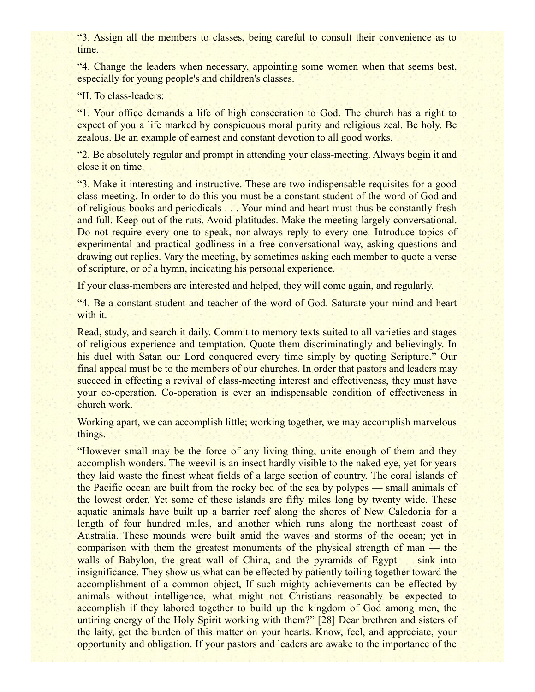"3. Assign all the members to classes, being careful to consult their convenience as to time.

"4. Change the leaders when necessary, appointing some women when that seems best, especially for young people's and children's classes.

"II. To class-leaders:

"1. Your office demands a life of high consecration to God. The church has a right to expect of you a life marked by conspicuous moral purity and religious zeal. Be holy. Be zealous. Be an example of earnest and constant devotion to all good works.

"2. Be absolutely regular and prompt in attending your class-meeting. Always begin it and close it on time.

"3. Make it interesting and instructive. These are two indispensable requisites for a good class-meeting. In order to do this you must be a constant student of the word of God and of religious books and periodicals . . . Your mind and heart must thus be constantly fresh and full. Keep out of the ruts. Avoid platitudes. Make the meeting largely conversational. Do not require every one to speak, nor always reply to every one. Introduce topics of experimental and practical godliness in a free conversational way, asking questions and drawing out replies. Vary the meeting, by sometimes asking each member to quote a verse of scripture, or of a hymn, indicating his personal experience.

If your class-members are interested and helped, they will come again, and regularly.

"4. Be a constant student and teacher of the word of God. Saturate your mind and heart with it.

Read, study, and search it daily. Commit to memory texts suited to all varieties and stages of religious experience and temptation. Quote them discriminatingly and believingly. In his duel with Satan our Lord conquered every time simply by quoting Scripture." Our final appeal must be to the members of our churches. In order that pastors and leaders may succeed in effecting a revival of class-meeting interest and effectiveness, they must have your co-operation. Co-operation is ever an indispensable condition of effectiveness in church work.

Working apart, we can accomplish little; working together, we may accomplish marvelous things.

"However small may be the force of any living thing, unite enough of them and they accomplish wonders. The weevil is an insect hardly visible to the naked eye, yet for years they laid waste the finest wheat fields of a large section of country. The coral islands of the Pacific ocean are built from the rocky bed of the sea by polypes — small animals of the lowest order. Yet some of these islands are fifty miles long by twenty wide. These aquatic animals have built up a barrier reef along the shores of New Caledonia for a length of four hundred miles, and another which runs along the northeast coast of Australia. These mounds were built amid the waves and storms of the ocean; yet in comparison with them the greatest monuments of the physical strength of man — the walls of Babylon, the great wall of China, and the pyramids of Egypt — sink into insignificance. They show us what can be effected by patiently toiling together toward the accomplishment of a common object, If such mighty achievements can be effected by animals without intelligence, what might not Christians reasonably be expected to accomplish if they labored together to build up the kingdom of God among men, the untiring energy of the Holy Spirit working with them?" [28] Dear brethren and sisters of the laity, get the burden of this matter on your hearts. Know, feel, and appreciate, your opportunity and obligation. If your pastors and leaders are awake to the importance of the